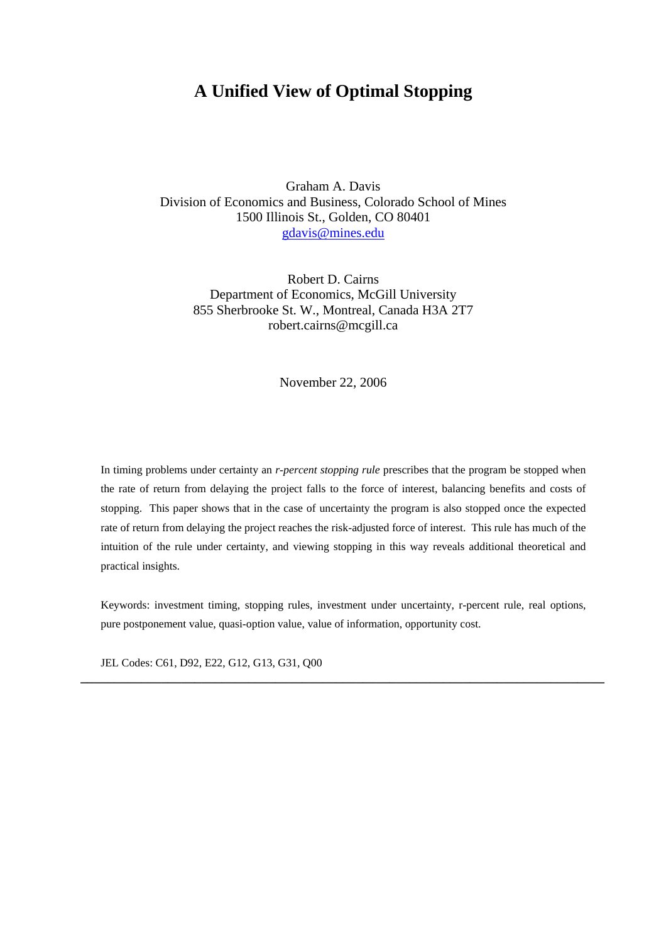# **A Unified View of Optimal Stopping**

Graham A. Davis Division of Economics and Business, Colorado School of Mines 1500 Illinois St., Golden, CO 80401 [gdavis@mines.edu](mailto:gdavis@mines.edu)

Robert D. Cairns Department of Economics, McGill University 855 Sherbrooke St. W., Montreal, Canada H3A 2T7 robert.cairns@mcgill.ca

November 22, 2006

In timing problems under certainty an *r-percent stopping rule* prescribes that the program be stopped when the rate of return from delaying the project falls to the force of interest, balancing benefits and costs of stopping. This paper shows that in the case of uncertainty the program is also stopped once the expected rate of return from delaying the project reaches the risk-adjusted force of interest. This rule has much of the intuition of the rule under certainty, and viewing stopping in this way reveals additional theoretical and practical insights.

Keywords: investment timing, stopping rules, investment under uncertainty, r-percent rule, real options, pure postponement value, quasi-option value, value of information, opportunity cost.

**\_\_\_\_\_\_\_\_\_\_\_\_\_\_\_\_\_\_\_\_\_\_\_\_\_\_\_\_\_\_\_\_\_\_\_\_\_\_\_\_\_\_\_\_\_\_\_\_\_\_\_\_\_\_\_\_\_\_\_\_\_\_\_\_\_\_\_\_\_\_\_\_\_\_\_\_\_\_** 

JEL Codes: C61, D92, E22, G12, G13, G31, Q00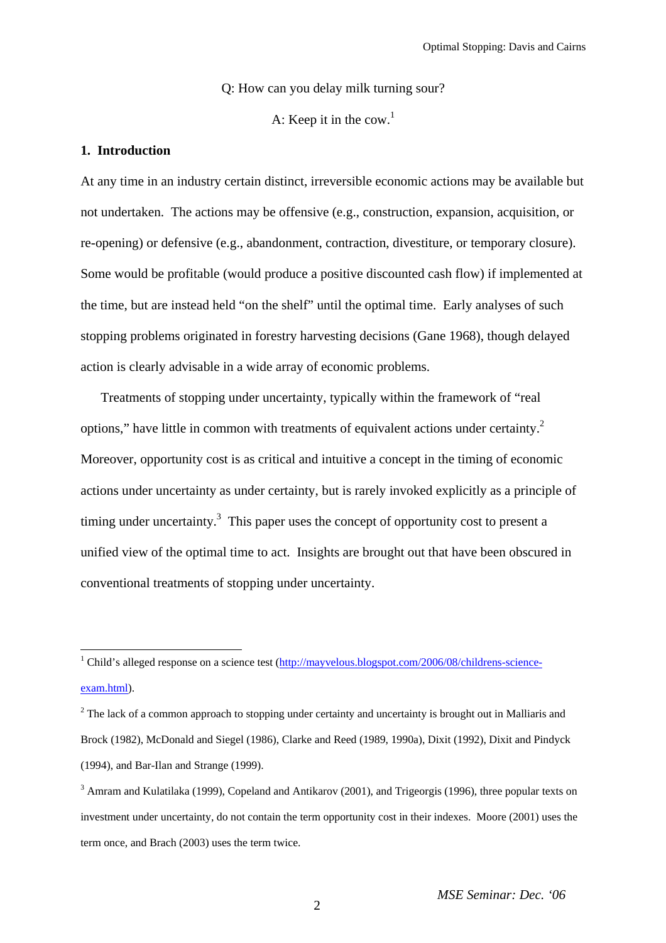Q: How can you delay milk turning sour?

A: Keep it in the cow.<sup>1</sup>

## **1. Introduction**

At any time in an industry certain distinct, irreversible economic actions may be available but not undertaken. The actions may be offensive (e.g., construction, expansion, acquisition, or re-opening) or defensive (e.g., abandonment, contraction, divestiture, or temporary closure). Some would be profitable (would produce a positive discounted cash flow) if implemented at the time, but are instead held "on the shelf" until the optimal time. Early analyses of such stopping problems originated in forestry harvesting decisions (Gane 1968), though delayed action is clearly advisable in a wide array of economic problems.

Treatments of stopping under uncertainty, typically within the framework of "real options," have little in common with treatments of equivalent actions under certainty. $2$ Moreover, opportunity cost is as critical and intuitive a concept in the timing of economic actions under uncertainty as under certainty, but is rarely invoked explicitly as a principle of timing under uncertainty.<sup>3</sup> This paper uses the concept of opportunity cost to present a unified view of the optimal time to act. Insights are brought out that have been obscured in conventional treatments of stopping under uncertainty.

<span id="page-1-0"></span><sup>&</sup>lt;sup>1</sup> Child's alleged response on a science test ([http://mayvelous.blogspot.com/2006/08/childrens-science](http://mayvelous.blogspot.com/2006/08/childrens-science-exam.html)[exam.html](http://mayvelous.blogspot.com/2006/08/childrens-science-exam.html)).

<span id="page-1-1"></span> $2<sup>2</sup>$  The lack of a common approach to stopping under certainty and uncertainty is brought out in Malliaris and Brock (1982), McDonald and Siegel (1986), Clarke and Reed (1989, 1990a), Dixit (1992), Dixit and Pindyck (1994), and Bar-Ilan and Strange (1999).

<span id="page-1-2"></span><sup>&</sup>lt;sup>3</sup> Amram and Kulatilaka (1999), Copeland and Antikarov (2001), and Trigeorgis (1996), three popular texts on investment under uncertainty, do not contain the term opportunity cost in their indexes. Moore (2001) uses the term once, and Brach (2003) uses the term twice.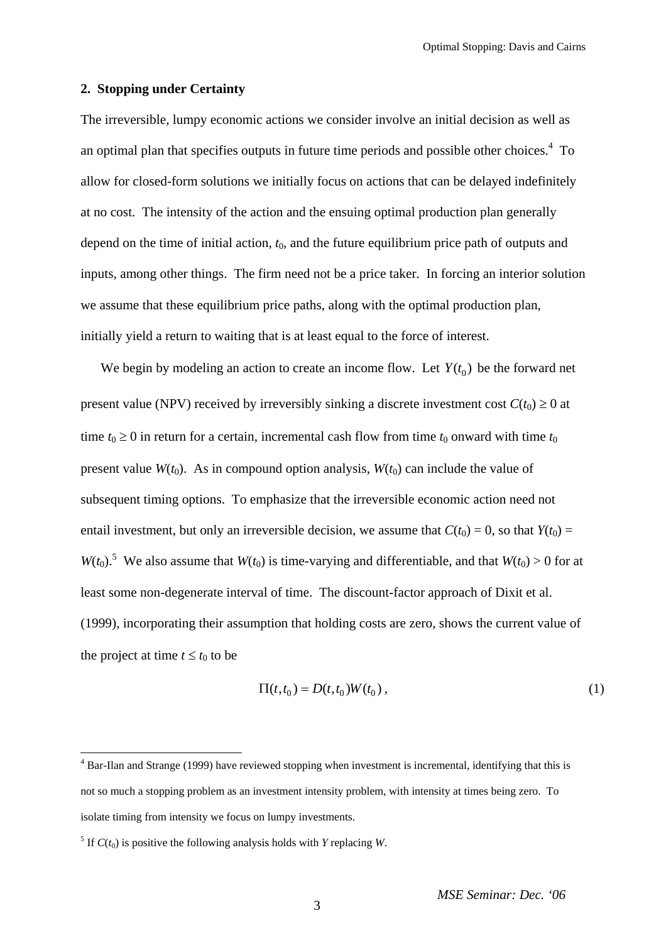## **2. Stopping under Certainty**

The irreversible, lumpy economic actions we consider involve an initial decision as well as anoptimal plan that specifies outputs in future time periods and possible other choices. $4$  To allow for closed-form solutions we initially focus on actions that can be delayed indefinitely at no cost. The intensity of the action and the ensuing optimal production plan generally depend on the time of initial action,  $t_0$ , and the future equilibrium price path of outputs and inputs, among other things. The firm need not be a price taker. In forcing an interior solution we assume that these equilibrium price paths, along with the optimal production plan, initially yield a return to waiting that is at least equal to the force of interest.

We begin by modeling an action to create an income flow. Let  $Y(t_0)$  be the forward net present value (NPV) received by irreversibly sinking a discrete investment cost  $C(t_0) \ge 0$  at time  $t_0 \ge 0$  in return for a certain, incremental cash flow from time  $t_0$  onward with time  $t_0$ present value  $W(t_0)$ . As in compound option analysis,  $W(t_0)$  can include the value of subsequent timing options. To emphasize that the irreversible economic action need not entail investment, but only an irreversible decision, we assume that  $C(t_0) = 0$ , so that  $Y(t_0) = 0$  $W(t_0)$ .<sup>[5](#page-2-1)</sup> We also assume that  $W(t_0)$  is time-varying and differentiable, and that  $W(t_0) > 0$  for at least some non-degenerate interval of time. The discount-factor approach of Dixit et al. (1999), incorporating their assumption that holding costs are zero, shows the current value of the project at time  $t \leq t_0$  to be

$$
\Pi(t, t_0) = D(t, t_0)W(t_0), \qquad (1)
$$

 $\overline{a}$ 

<span id="page-2-0"></span> $4$  Bar-Ilan and Strange (1999) have reviewed stopping when investment is incremental, identifying that this is not so much a stopping problem as an investment intensity problem, with intensity at times being zero. To isolate timing from intensity we focus on lumpy investments.

<span id="page-2-1"></span><sup>&</sup>lt;sup>5</sup> If  $C(t_0)$  is positive the following analysis holds with *Y* replacing *W*.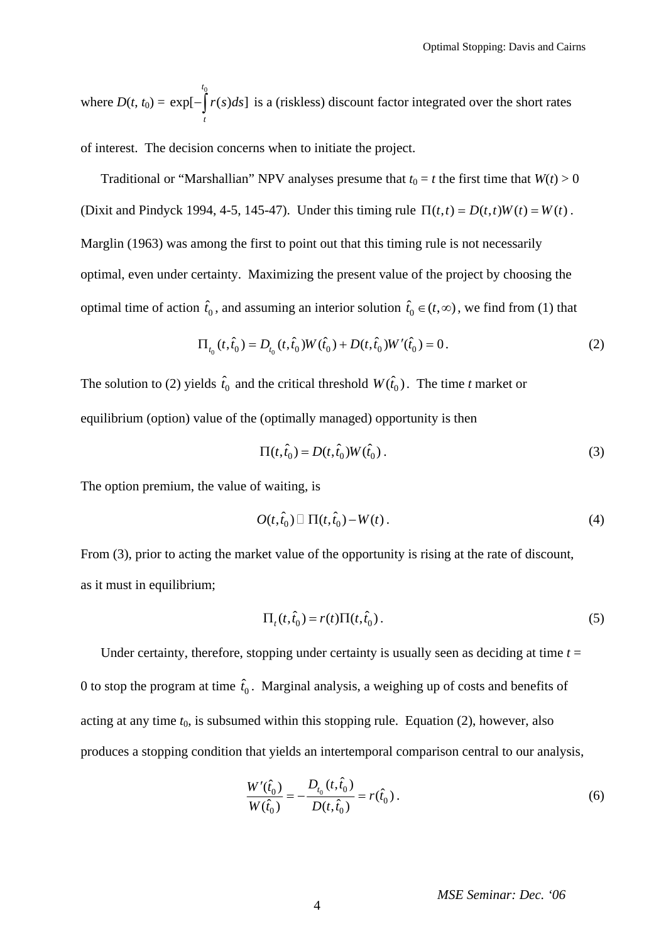where  $D(t, t_0) =$  $\overline{0}$  $\exp[-|r(s)ds]$ *t t*  $-\int r(s)ds$  is a (riskless) discount factor integrated over the short rates

of interest. The decision concerns when to initiate the project.

Traditional or "Marshallian" NPV analyses presume that  $t_0 = t$  the first time that  $W(t) > 0$ (Dixit and Pindyck 1994, 4-5, 145-47). Under this timing rule  $\Pi(t,t) = D(t,t)W(t) = W(t)$ . Marglin (1963) was among the first to point out that this timing rule is not necessarily optimal, even under certainty. Maximizing the present value of the project by choosing the optimal time of action  $\hat{t}_0$ , and assuming an interior solution  $\hat{t}_0 \in (t, \infty)$ , we find from (1) that

$$
\Pi_{t_0}(t,\hat{t}_0) = D_{t_0}(t,\hat{t}_0)W(\hat{t}_0) + D(t,\hat{t}_0)W'(\hat{t}_0) = 0.
$$
\n(2)

The solution to (2) yields  $\hat{t}_0$  and the critical threshold  $W(\hat{t}_0)$ . The time *t* market or equilibrium (option) value of the (optimally managed) opportunity is then

$$
\Pi(t, \hat{t}_0) = D(t, \hat{t}_0) W(\hat{t}_0).
$$
\n(3)

The option premium, the value of waiting, is

$$
O(t,\hat{t}_0) \Box \Pi(t,\hat{t}_0) - W(t).
$$
 (4)

From (3), prior to acting the market value of the opportunity is rising at the rate of discount, as it must in equilibrium;

$$
\Pi_t(t,\hat{t}_0) = r(t)\Pi(t,\hat{t}_0). \tag{5}
$$

Under certainty, therefore, stopping under certainty is usually seen as deciding at time  $t =$ 0 to stop the program at time  $\hat{t}_0$ . Marginal analysis, a weighing up of costs and benefits of acting at any time  $t_0$ , is subsumed within this stopping rule. Equation (2), however, also produces a stopping condition that yields an intertemporal comparison central to our analysis,

$$
\frac{W'(\hat{t}_0)}{W(\hat{t}_0)} = -\frac{D_{t_0}(t,\hat{t}_0)}{D(t,\hat{t}_0)} = r(\hat{t}_0).
$$
\n(6)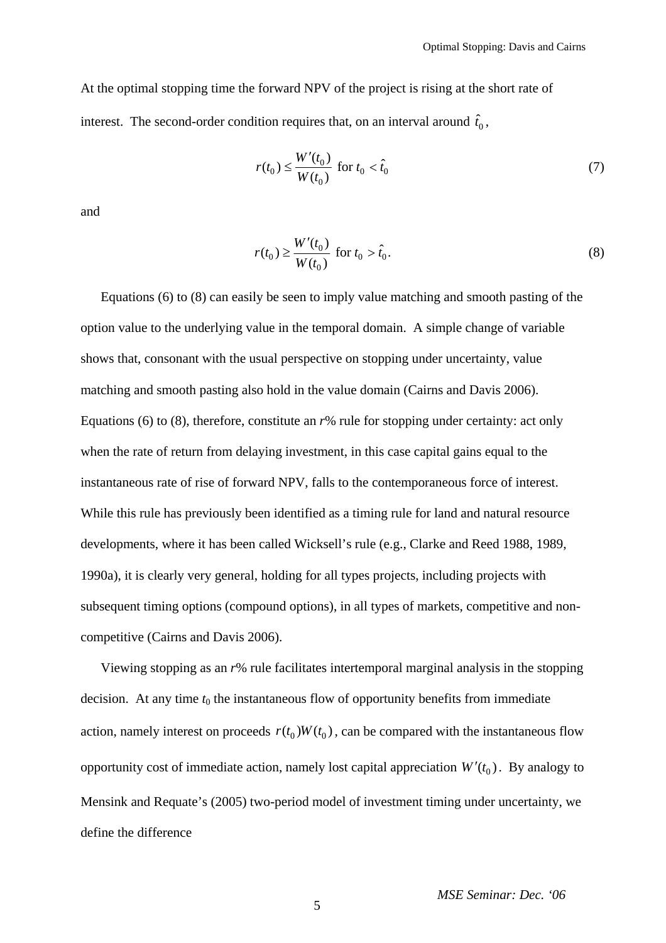At the optimal stopping time the forward NPV of the project is rising at the short rate of interest. The second-order condition requires that, on an interval around  $\hat{t}_0$ ,

$$
r(t_0) \le \frac{W'(t_0)}{W(t_0)} \text{ for } t_0 < \hat{t}_0 \tag{7}
$$

and

$$
r(t_0) \ge \frac{W'(t_0)}{W(t_0)} \text{ for } t_0 > \hat{t}_0.
$$
 (8)

Equations (6) to (8) can easily be seen to imply value matching and smooth pasting of the option value to the underlying value in the temporal domain. A simple change of variable shows that, consonant with the usual perspective on stopping under uncertainty, value matching and smooth pasting also hold in the value domain (Cairns and Davis 2006). Equations (6) to (8), therefore, constitute an *r*% rule for stopping under certainty: act only when the rate of return from delaying investment, in this case capital gains equal to the instantaneous rate of rise of forward NPV, falls to the contemporaneous force of interest. While this rule has previously been identified as a timing rule for land and natural resource developments, where it has been called Wicksell's rule (e.g., Clarke and Reed 1988, 1989, 1990a), it is clearly very general, holding for all types projects, including projects with subsequent timing options (compound options), in all types of markets, competitive and noncompetitive (Cairns and Davis 2006).

Viewing stopping as an *r*% rule facilitates intertemporal marginal analysis in the stopping decision. At any time  $t_0$  the instantaneous flow of opportunity benefits from immediate action, namely interest on proceeds  $r(t_0) W(t_0)$ , can be compared with the instantaneous flow opportunity cost of immediate action, namely lost capital appreciation  $W'(t_0)$ . By analogy to Mensink and Requate's (2005) two-period model of investment timing under uncertainty, we define the difference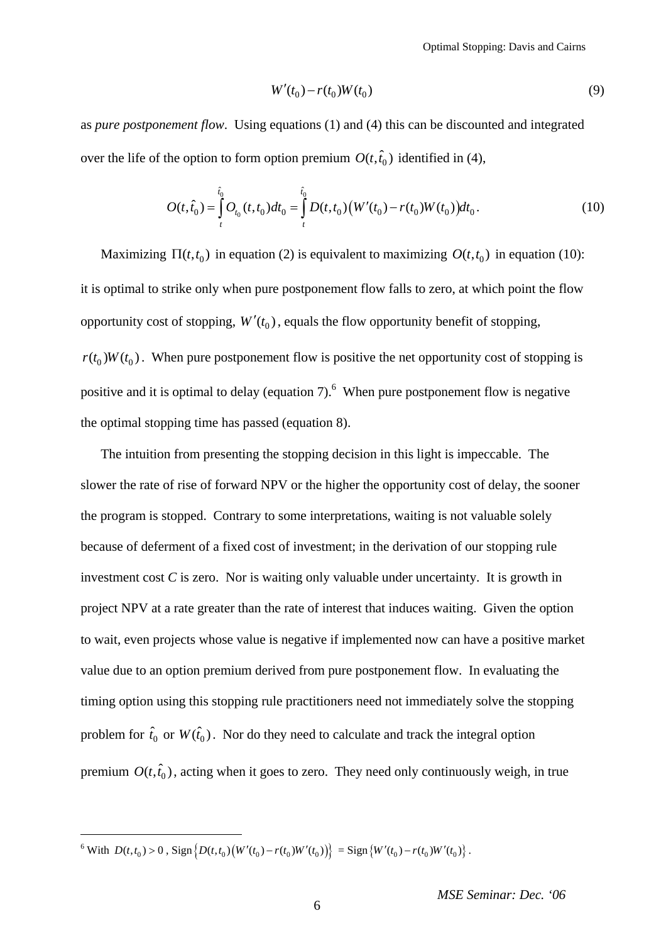Optimal Stopping: Davis and Cairns

$$
W'(t_0) - r(t_0)W(t_0)
$$
\n(9)

as *pure postponement flow*. Using equations (1) and (4) this can be discounted and integrated over the life of the option to form option premium  $O(t, \hat{t}_0)$  identified in (4),

$$
O(t,\hat{t}_0) = \int_{t}^{\hat{t}_0} O_{t_0}(t,t_0)dt_0 = \int_{t}^{\hat{t}_0} D(t,t_0) \big(W'(t_0) - r(t_0)W(t_0)\big)dt_0.
$$
\n(10)

Maximizing  $\Pi(t, t_0)$  in equation (2) is equivalent to maximizing  $O(t, t_0)$  in equation (10): it is optimal to strike only when pure postponement flow falls to zero, at which point the flow opportunity cost of stopping,  $W'(t_0)$ , equals the flow opportunity benefit of stopping,  $r(t_0)W(t_0)$ . When pure postponement flow is positive the net opportunity cost of stopping is positive and it is optimal to delay (equation 7). <sup>[6](#page-5-0)</sup> When pure postponement flow is negative the optimal stopping time has passed (equation 8).

The intuition from presenting the stopping decision in this light is impeccable. The slower the rate of rise of forward NPV or the higher the opportunity cost of delay, the sooner the program is stopped. Contrary to some interpretations, waiting is not valuable solely because of deferment of a fixed cost of investment; in the derivation of our stopping rule investment cost  $C$  is zero. Nor is waiting only valuable under uncertainty. It is growth in project NPV at a rate greater than the rate of interest that induces waiting. Given the option to wait, even projects whose value is negative if implemented now can have a positive market value due to an option premium derived from pure postponement flow. In evaluating the timing option using this stopping rule practitioners need not immediately solve the stopping problem for  $\hat{t}_0$  or  $W(\hat{t}_0)$ . Nor do they need to calculate and track the integral option premium  $O(t, \hat{t}_0)$ , acting when it goes to zero. They need only continuously weigh, in true

 $\overline{a}$ 

<span id="page-5-0"></span> $\{W(t_0) > 0, \text{Sign}\left\{D(t,t_0)\left(W'(t_0) - r(t_0)W'(t_0)\right)\}\right\} = \text{Sign}\left\{W'(t_0) - r(t_0)W'(t_0)\right\}.$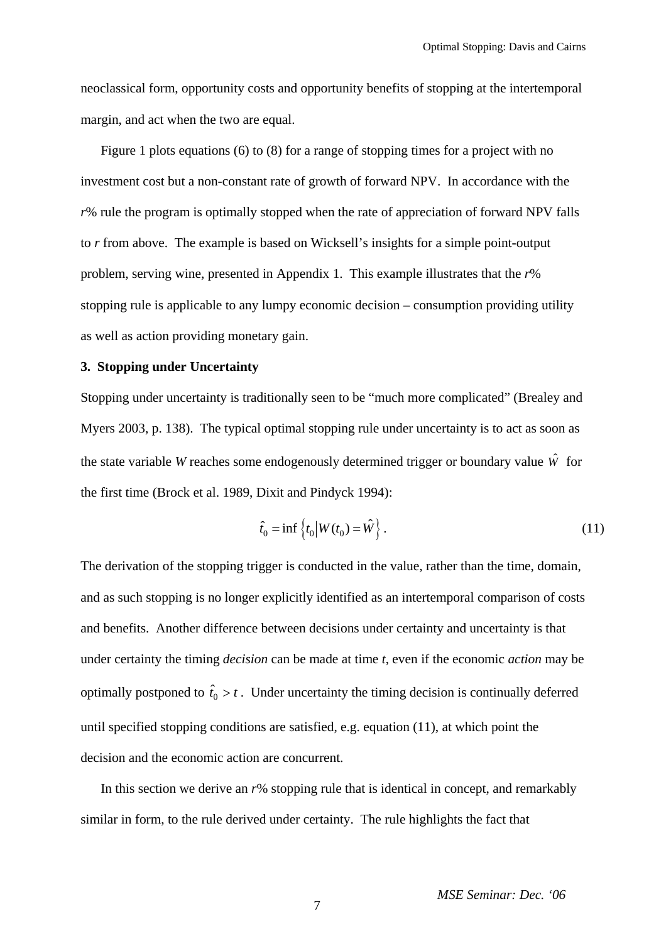neoclassical form, opportunity costs and opportunity benefits of stopping at the intertemporal margin, and act when the two are equal.

Figure 1 plots equations (6) to (8) for a range of stopping times for a project with no investment cost but a non-constant rate of growth of forward NPV. In accordance with the *r*% rule the program is optimally stopped when the rate of appreciation of forward NPV falls to *r* from above. The example is based on Wicksell's insights for a simple point-output problem, serving wine, presented in Appendix 1. This example illustrates that the *r*% stopping rule is applicable to any lumpy economic decision – consumption providing utility as well as action providing monetary gain.

## **3. Stopping under Uncertainty**

Stopping under uncertainty is traditionally seen to be "much more complicated" (Brealey and Myers 2003, p. 138). The typical optimal stopping rule under uncertainty is to act as soon as the state variable *W* reaches some endogenously determined trigger or boundary value *W*ˆ for the first time (Brock et al. 1989, Dixit and Pindyck 1994):

$$
\hat{t}_0 = \inf \{ t_0 | W(t_0) = \hat{W} \} .
$$
\n(11)

The derivation of the stopping trigger is conducted in the value, rather than the time, domain, and as such stopping is no longer explicitly identified as an intertemporal comparison of costs and benefits. Another difference between decisions under certainty and uncertainty is that under certainty the timing *decision* can be made at time *t*, even if the economic *action* may be optimally postponed to  $\hat{t}_0 > t$ . Under uncertainty the timing decision is continually deferred until specified stopping conditions are satisfied, e.g. equation (11), at which point the decision and the economic action are concurrent.

In this section we derive an *r*% stopping rule that is identical in concept, and remarkably similar in form, to the rule derived under certainty. The rule highlights the fact that

7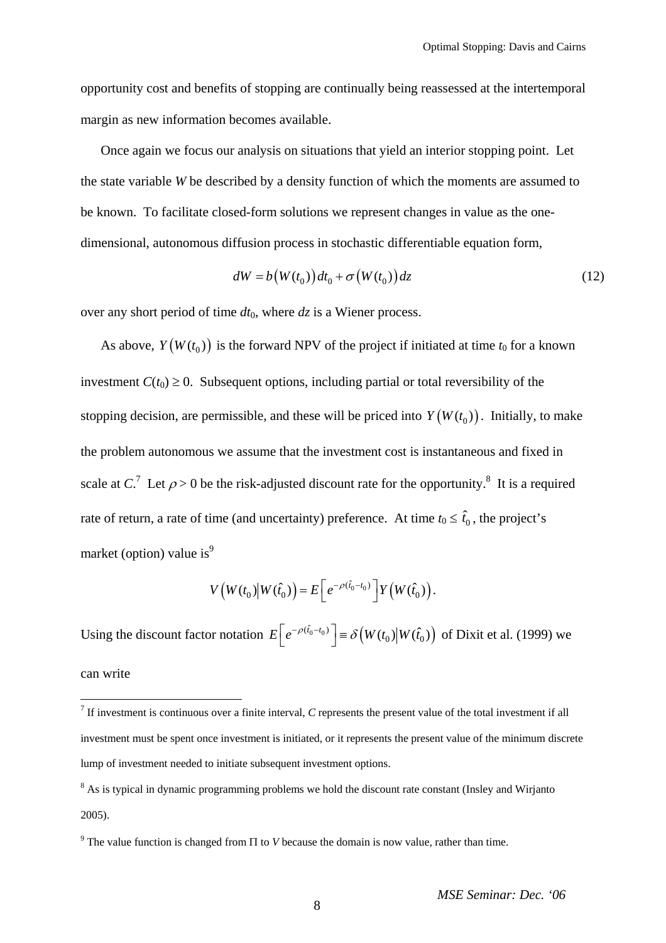opportunity cost and benefits of stopping are continually being reassessed at the intertemporal margin as new information becomes available.

Once again we focus our analysis on situations that yield an interior stopping point. Let the state variable *W* be described by a density function of which the moments are assumed to be known. To facilitate closed-form solutions we represent changes in value as the onedimensional, autonomous diffusion process in stochastic differentiable equation form,

$$
dW = b(W(t_0))dt_0 + \sigma(W(t_0))dz
$$
\n(12)

over any short period of time  $dt_0$ , where  $dz$  is a Wiener process.

As above,  $Y(W(t_0))$  is the forward NPV of the project if initiated at time  $t_0$  for a known investment  $C(t_0) \geq 0$ . Subsequent options, including partial or total reversibility of the stopping decision, are permissible, and these will be priced into  $Y(W(t_0))$ . Initially, to make the problem autonomous we assume that the investment cost is instantaneous and fixed in scale at  $C<sup>7</sup>$  $C<sup>7</sup>$  $C<sup>7</sup>$  Let  $\rho > 0$  be the risk-adjusted discount rate for the opportunity.<sup>[8](#page-7-1)</sup> It is a required rate of return, a rate of time (and uncertainty) preference. At time  $t_0 \leq \hat{t}_0$ , the project's market (option) value is<sup>[9](#page-7-2)</sup>

$$
V\left(W(t_0)\big|W(\hat{t}_0)\right)=E\bigg[e^{-\rho(\hat{t}_0-t_0)}\bigg]Y\big(W(\hat{t}_0)\bigg).
$$

Using the discount factor notation  $E\left[ e^{-\rho(\hat{t}_0 - t_0)} \right] = \delta(W(t_0) | W(\hat{t}_0))$  of Dixit et al. (1999) we can write

 $\overline{a}$ 

<span id="page-7-0"></span> $<sup>7</sup>$  If investment is continuous over a finite interval, *C* represents the present value of the total investment if all</sup> investment must be spent once investment is initiated, or it represents the present value of the minimum discrete lump of investment needed to initiate subsequent investment options.

<span id="page-7-1"></span> $8$  As is typical in dynamic programming problems we hold the discount rate constant (Insley and Wirjanto) 2005).

<span id="page-7-2"></span><sup>&</sup>lt;sup>9</sup> The value function is changed from  $\Pi$  to *V* because the domain is now value, rather than time.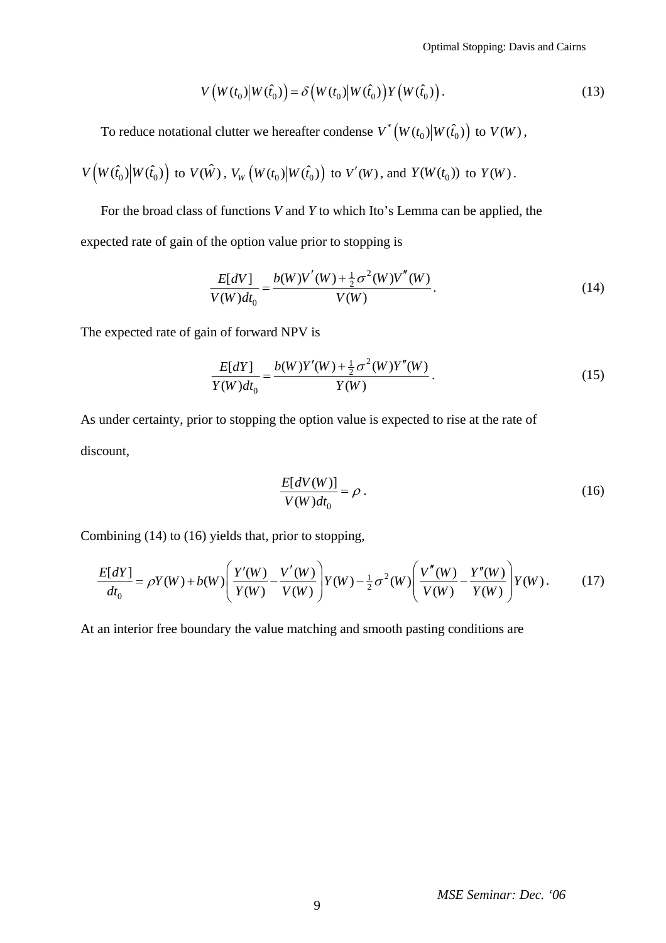Optimal Stopping: Davis and Cairns

$$
V\left(W(t_0)\middle|W(\hat{t}_0)\right) = \delta\left(W(t_0)\middle|W(\hat{t}_0)\right)Y\left(W(\hat{t}_0)\right). \tag{13}
$$

To reduce notational clutter we hereafter condense  $V^* (W(t_0) | W(\hat{t}_0))$  to  $V(W)$ ,

$$
V\left(W(\hat{t}_0)\middle|W(\hat{t}_0)\right) \text{ to } V(\hat{W}), V_W\left(W(t_0)\middle|W(\hat{t}_0)\right) \text{ to } V'(W), \text{ and } Y(W(t_0)) \text{ to } Y(W).
$$

For the broad class of functions *V* and *Y* to which Ito's Lemma can be applied, the expected rate of gain of the option value prior to stopping is

$$
\frac{E[dV]}{V(W)dt_0} = \frac{b(W)V'(W) + \frac{1}{2}\sigma^2(W)V''(W)}{V(W)}.
$$
\n(14)

The expected rate of gain of forward NPV is

$$
\frac{E[dY]}{Y(W)dt_0} = \frac{b(W)Y'(W) + \frac{1}{2}\sigma^2(W)Y''(W)}{Y(W)}.
$$
\n(15)

As under certainty, prior to stopping the option value is expected to rise at the rate of discount,

$$
\frac{E[dV(W)]}{V(W)dt_0} = \rho \,. \tag{16}
$$

Combining (14) to (16) yields that, prior to stopping,

$$
\frac{E[dY]}{dt_0} = \rho Y(W) + b(W) \left( \frac{Y'(W)}{Y(W)} - \frac{V'(W)}{V(W)} \right) Y(W) - \frac{1}{2} \sigma^2(W) \left( \frac{V''(W)}{V(W)} - \frac{Y''(W)}{Y(W)} \right) Y(W).
$$
(17)

At an interior free boundary the value matching and smooth pasting conditions are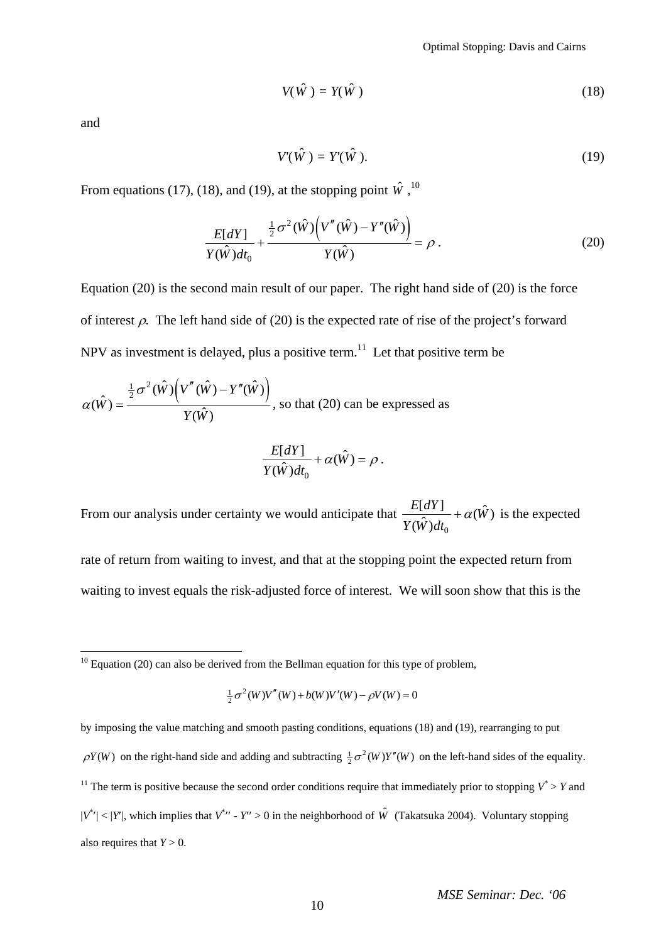$$
V(\hat{W}) = Y(\hat{W})
$$
 (18)

and

 $\overline{a}$ 

$$
V'(\hat{W}) = Y'(\hat{W}).\tag{19}
$$

From equations (17), (18), and (19), at the stopping point  $\hat{W}$ , <sup>[10](#page-9-0)</sup>

$$
\frac{E[dY]}{Y(\hat{W})dt_0} + \frac{\frac{1}{2}\sigma^2(\hat{W})\left(V''(\hat{W}) - Y''(\hat{W})\right)}{Y(\hat{W})} = \rho.
$$
\n(20)

Equation (20) is the second main result of our paper. The right hand side of (20) is the force of interest  $\rho$ . The left hand side of (20) is the expected rate of rise of the project's forward NPV as investment is delayed, plus a positive term.<sup>[11](#page-9-1)</sup> Let that positive term be

$$
\alpha(\hat{W}) = \frac{\frac{1}{2}\sigma^2(\hat{W})\left(V''(\hat{W}) - Y''(\hat{W})\right)}{Y(\hat{W})}, \text{ so that (20) can be expressed as}
$$

$$
\frac{E[dY]}{Y(\hat{W})dt_0} + \alpha(\hat{W}) = \rho.
$$

From our analysis under certainty we would anticipate that  $\frac{E[dY]}{(\hat{W})dt_0} + \alpha(\hat{W})$  $Y(\hat{W})dt$ +  $\alpha(\hat{W})$  is the expected

rate of return from waiting to invest, and that at the stopping point the expected return from waiting to invest equals the risk-adjusted force of interest. We will soon show that this is the

$$
\frac{1}{2}\sigma^{2}(W)V''(W) + b(W)V'(W) - \rho V(W) = 0
$$

<span id="page-9-1"></span>by imposing the value matching and smooth pasting conditions, equations (18) and (19), rearranging to put  $\rho(Y(W)$  on the right-hand side and adding and subtracting  $\frac{1}{2}\sigma^2(W)Y''(W)$  on the left-hand sides of the equality. <sup>11</sup> The term is positive because the second order conditions require that immediately prior to stopping  $V^* > Y$  and  $|V^*|$  < |*Y*'|, which implies that  $V^*$ '' - *Y''* > 0 in the neighborhood of  $\hat{W}$  (Takatsuka 2004). Voluntary stopping also requires that  $Y > 0$ .

<span id="page-9-0"></span> $10$  Equation (20) can also be derived from the Bellman equation for this type of problem,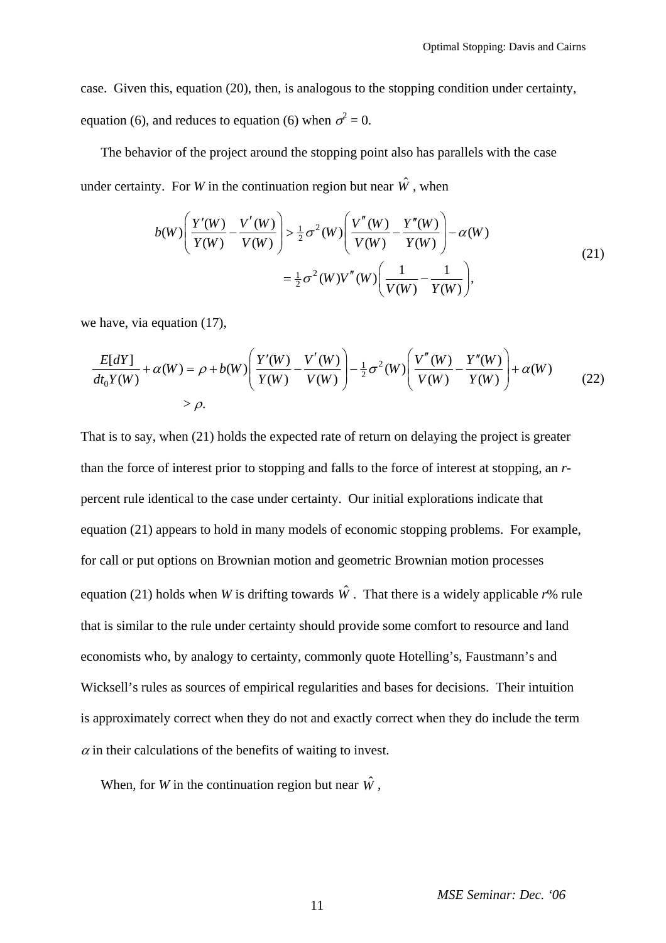case. Given this, equation (20), then, is analogous to the stopping condition under certainty, equation (6), and reduces to equation (6) when  $\sigma^2 = 0$ .

The behavior of the project around the stopping point also has parallels with the case under certainty. For *W* in the continuation region but near  $\hat{W}$ , when

$$
b(W)\left(\frac{Y'(W)}{Y(W)} - \frac{V'(W)}{V(W)}\right) > \frac{1}{2}\sigma^2(W)\left(\frac{V''(W)}{V(W)} - \frac{Y''(W)}{Y(W)}\right) - \alpha(W)
$$
  
=  $\frac{1}{2}\sigma^2(W)V''(W)\left(\frac{1}{V(W)} - \frac{1}{Y(W)}\right),$  (21)

we have, via equation (17),

$$
\frac{E[dY]}{dt_0 Y(W)} + \alpha(W) = \rho + b(W) \left( \frac{Y'(W)}{Y(W)} - \frac{V'(W)}{V(W)} \right) - \frac{1}{2} \sigma^2(W) \left( \frac{V''(W)}{V(W)} - \frac{Y''(W)}{Y(W)} \right) + \alpha(W) \tag{22}
$$
\n
$$
> \rho.
$$

That is to say, when (21) holds the expected rate of return on delaying the project is greater than the force of interest prior to stopping and falls to the force of interest at stopping, an *r*percent rule identical to the case under certainty. Our initial explorations indicate that equation (21) appears to hold in many models of economic stopping problems. For example, for call or put options on Brownian motion and geometric Brownian motion processes equation (21) holds when *W* is drifting towards  $\hat{W}$ . That there is a widely applicable *r*% rule that is similar to the rule under certainty should provide some comfort to resource and land economists who, by analogy to certainty, commonly quote Hotelling's, Faustmann's and Wicksell's rules as sources of empirical regularities and bases for decisions. Their intuition is approximately correct when they do not and exactly correct when they do include the term  $\alpha$  in their calculations of the benefits of waiting to invest.

When, for *W* in the continuation region but near  $\hat{W}$ .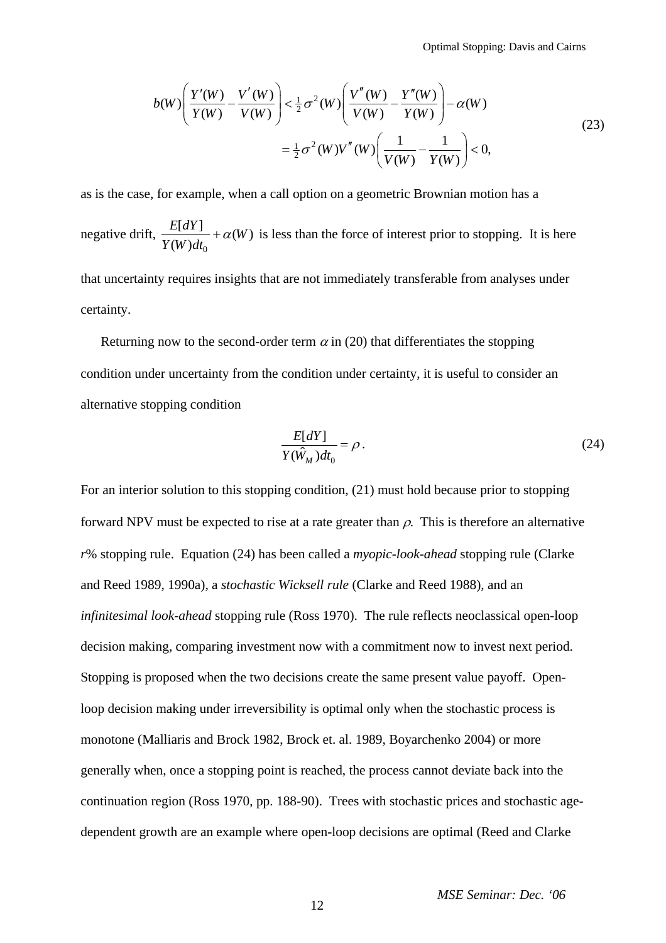$$
b(W)\left(\frac{Y'(W)}{Y(W)} - \frac{V'(W)}{V(W)}\right) < \frac{1}{2}\sigma^2(W)\left(\frac{V''(W)}{V(W)} - \frac{Y''(W)}{Y(W)}\right) - \alpha(W)
$$
  
=  $\frac{1}{2}\sigma^2(W)V''(W)\left(\frac{1}{V(W)} - \frac{1}{Y(W)}\right) < 0,$  (23)

as is the case, for example, when a call option on a geometric Brownian motion has a

negative drift,  $\frac{E[dY]}{(W)dt_0} + \alpha(W)$ *Y W dt*  $+\alpha(W)$  is less than the force of interest prior to stopping. It is here

that uncertainty requires insights that are not immediately transferable from analyses under certainty.

Returning now to the second-order term  $\alpha$  in (20) that differentiates the stopping condition under uncertainty from the condition under certainty, it is useful to consider an alternative stopping condition

$$
\frac{E[dY]}{Y(\hat{W}_M)dt_0} = \rho.
$$
\n(24)

For an interior solution to this stopping condition, (21) must hold because prior to stopping forward NPV must be expected to rise at a rate greater than  $\rho$ . This is therefore an alternative *r*% stopping rule. Equation (24) has been called a *myopic-look-ahead* stopping rule (Clarke and Reed 1989, 1990a), a *stochastic Wicksell rule* (Clarke and Reed 1988), and an *infinitesimal look-ahead* stopping rule (Ross 1970). The rule reflects neoclassical open-loop decision making, comparing investment now with a commitment now to invest next period. Stopping is proposed when the two decisions create the same present value payoff. Openloop decision making under irreversibility is optimal only when the stochastic process is monotone (Malliaris and Brock 1982, Brock et. al. 1989, Boyarchenko 2004) or more generally when, once a stopping point is reached, the process cannot deviate back into the continuation region (Ross 1970, pp. 188-90). Trees with stochastic prices and stochastic agedependent growth are an example where open-loop decisions are optimal (Reed and Clarke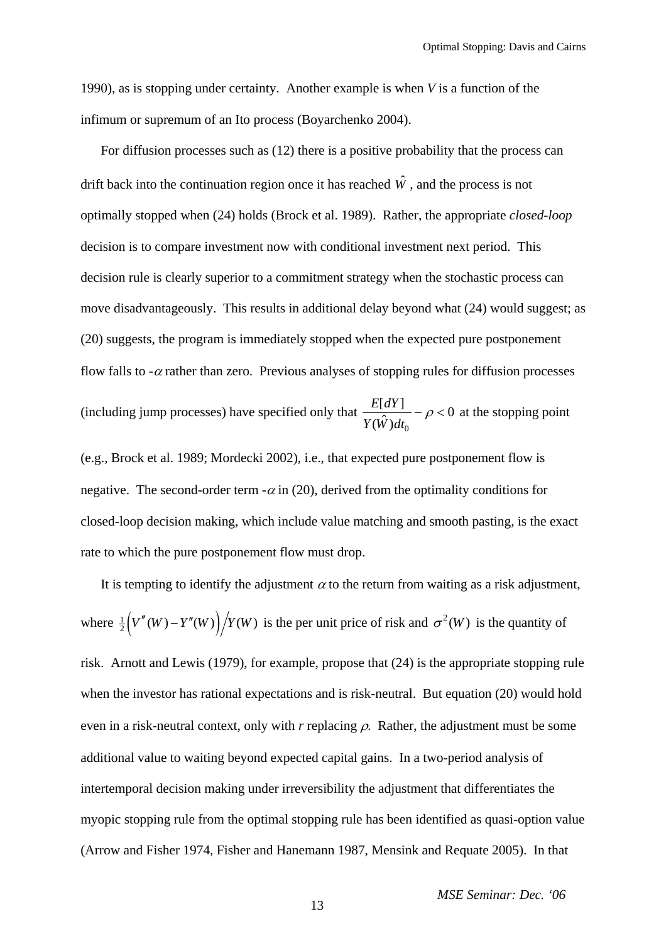1990), as is stopping under certainty. Another example is when *V* is a function of the infimum or supremum of an Ito process (Boyarchenko 2004).

For diffusion processes such as (12) there is a positive probability that the process can drift back into the continuation region once it has reached  $\hat{W}$ , and the process is not optimally stopped when (24) holds (Brock et al. 1989). Rather, the appropriate *closed-loop* decision is to compare investment now with conditional investment next period. This decision rule is clearly superior to a commitment strategy when the stochastic process can move disadvantageously. This results in additional delay beyond what (24) would suggest; as (20) suggests, the program is immediately stopped when the expected pure postponement flow falls to  $-\alpha$  rather than zero. Previous analyses of stopping rules for diffusion processes (including jump processes) have specified only that  $\frac{E[dY]}{Y(\hat{W})dt_0}$  –  $\rho$  < 0 at the stopping point

(e.g., Brock et al. 1989; Mordecki 2002), i.e., that expected pure postponement flow is negative. The second-order term  $-\alpha$  in (20), derived from the optimality conditions for closed-loop decision making, which include value matching and smooth pasting, is the exact rate to which the pure postponement flow must drop.

It is tempting to identify the adjustment  $\alpha$  to the return from waiting as a risk adjustment, where  $\frac{1}{2} (V''(W) - Y''(W)) / Y(W)$  is the per unit price of risk and  $\sigma^2(W)$  is the quantity of risk. Arnott and Lewis (1979), for example, propose that (24) is the appropriate stopping rule when the investor has rational expectations and is risk-neutral. But equation (20) would hold even in a risk-neutral context, only with  $r$  replacing  $\rho$ . Rather, the adjustment must be some additional value to waiting beyond expected capital gains. In a two-period analysis of intertemporal decision making under irreversibility the adjustment that differentiates the myopic stopping rule from the optimal stopping rule has been identified as quasi-option value (Arrow and Fisher 1974, Fisher and Hanemann 1987, Mensink and Requate 2005). In that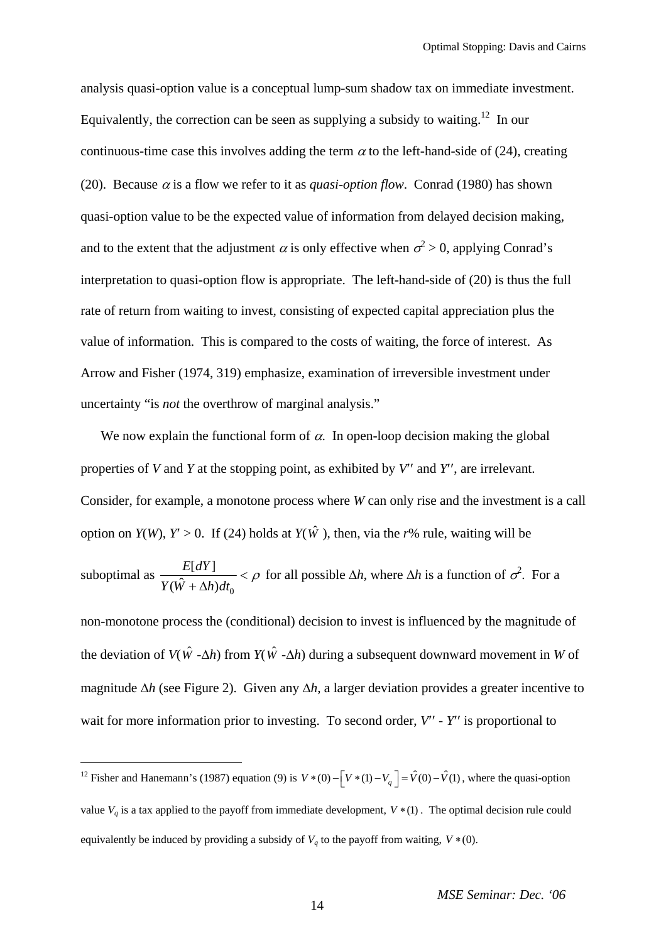analysis quasi-option value is a conceptual lump-sum shadow tax on immediate investment. Equivalently, the correction can be seen as supplying a subsidy to waiting.<sup>[12](#page-13-0)</sup> In our continuous-time case this involves adding the term  $\alpha$  to the left-hand-side of (24), creating (20). Because  $\alpha$  is a flow we refer to it as *quasi-option flow*. Conrad (1980) has shown quasi-option value to be the expected value of information from delayed decision making, and to the extent that the adjustment  $\alpha$  is only effective when  $\sigma^2 > 0$ , applying Conrad's interpretation to quasi-option flow is appropriate. The left-hand-side of (20) is thus the full rate of return from waiting to invest, consisting of expected capital appreciation plus the value of information. This is compared to the costs of waiting, the force of interest. As Arrow and Fisher (1974, 319) emphasize, examination of irreversible investment under uncertainty "is *not* the overthrow of marginal analysis."

We now explain the functional form of  $\alpha$ . In open-loop decision making the global properties of *V* and *Y* at the stopping point, as exhibited by *V*′′ and *Y*′′, are irrelevant. Consider, for example, a monotone process where *W* can only rise and the investment is a call option on *Y*(*W*), *Y*′ > 0. If (24) holds at *Y*( $\hat{W}$ ), then, via the *r*% rule, waiting will be suboptimal as 0  $[dY]$  $(\hat{W} + \Delta h)$ *E dY*  $\frac{E[di]}{Y(\hat{W} + \Delta h)dt_0} < \rho$  for all possible  $\Delta h$ , where  $\Delta h$  is a function of  $\sigma^2$ . For a

non-monotone process the (conditional) decision to invest is influenced by the magnitude of the deviation of *V*( $\hat{W}$  - $\Delta h$ ) from *Y*( $\hat{W}$  - $\Delta h$ ) during a subsequent downward movement in *W* of magnitude ∆*h* (see Figure 2). Given any ∆*h*, a larger deviation provides a greater incentive to wait for more information prior to investing. To second order,  $V'$  -  $Y''$  is proportional to

 $\overline{a}$ 

<span id="page-13-0"></span><sup>&</sup>lt;sup>12</sup> Fisher and Hanemann's (1987) equation (9) is  $V*(0) - \left[V*(1) - V_q\right] = \hat{V}(0) - \hat{V}(1)$ , where the quasi-option value  $V_q$  is a tax applied to the payoff from immediate development,  $V*(1)$ . The optimal decision rule could equivalently be induced by providing a subsidy of  $V_q$  to the payoff from waiting,  $V * (0)$ .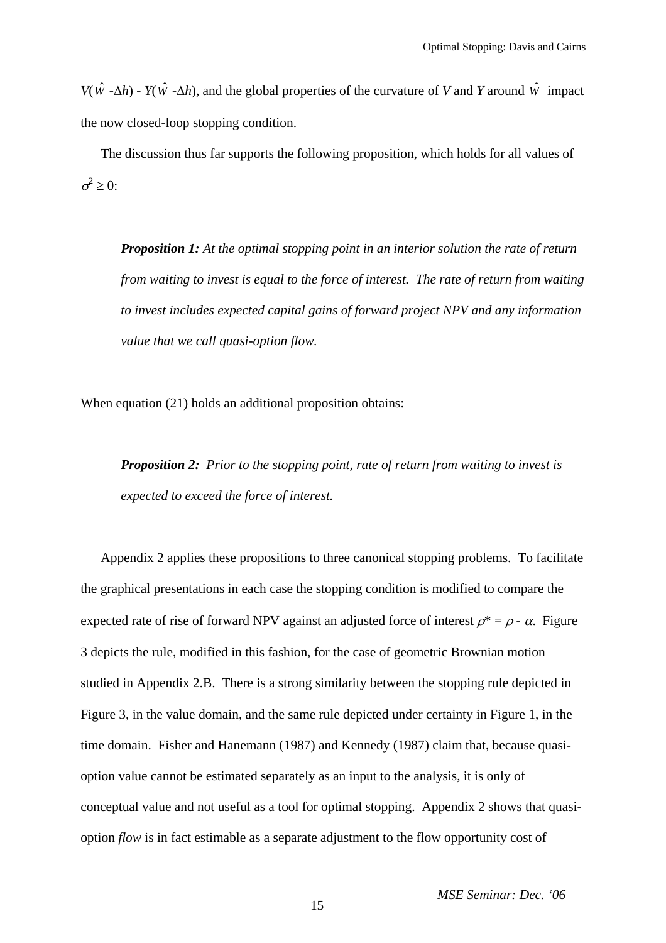*V*( $\hat{W}$  - $\Delta h$ ) - *Y*( $\hat{W}$  - $\Delta h$ ), and the global properties of the curvature of *V* and *Y* around  $\hat{W}$  impact the now closed-loop stopping condition.

The discussion thus far supports the following proposition, which holds for all values of  $\sigma^2 \geq 0$ :

*Proposition 1: At the optimal stopping point in an interior solution the rate of return from waiting to invest is equal to the force of interest. The rate of return from waiting to invest includes expected capital gains of forward project NPV and any information value that we call quasi-option flow.* 

When equation (21) holds an additional proposition obtains:

*Proposition 2: Prior to the stopping point, rate of return from waiting to invest is expected to exceed the force of interest.* 

Appendix 2 applies these propositions to three canonical stopping problems. To facilitate the graphical presentations in each case the stopping condition is modified to compare the expected rate of rise of forward NPV against an adjusted force of interest  $\rho^* = \rho - \alpha$ . Figure 3 depicts the rule, modified in this fashion, for the case of geometric Brownian motion studied in Appendix 2.B. There is a strong similarity between the stopping rule depicted in Figure 3, in the value domain, and the same rule depicted under certainty in Figure 1, in the time domain. Fisher and Hanemann (1987) and Kennedy (1987) claim that, because quasioption value cannot be estimated separately as an input to the analysis, it is only of conceptual value and not useful as a tool for optimal stopping. Appendix 2 shows that quasioption *flow* is in fact estimable as a separate adjustment to the flow opportunity cost of

*MSE Seminar: Dec. '06*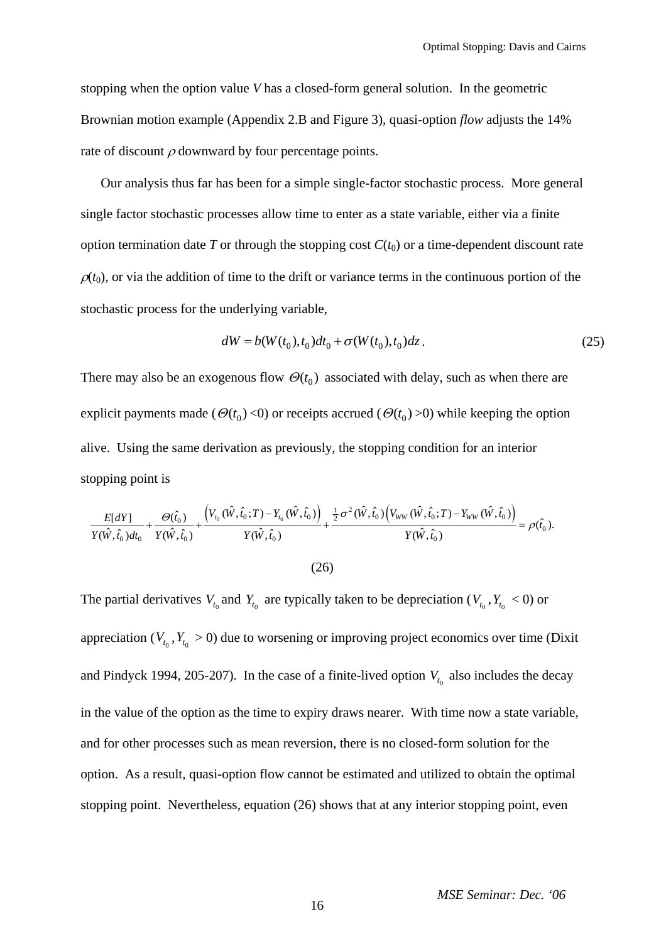stopping when the option value *V* has a closed-form general solution. In the geometric Brownian motion example (Appendix 2.B and Figure 3), quasi-option *flow* adjusts the 14% rate of discount  $\rho$  downward by four percentage points.

Our analysis thus far has been for a simple single-factor stochastic process. More general single factor stochastic processes allow time to enter as a state variable, either via a finite option termination date  $T$  or through the stopping cost  $C(t_0)$  or a time-dependent discount rate  $\rho(t_0)$ , or via the addition of time to the drift or variance terms in the continuous portion of the stochastic process for the underlying variable,

$$
dW = b(W(t_0), t_0)dt_0 + \sigma(W(t_0), t_0)dz.
$$
\n(25)

There may also be an exogenous flow  $\Theta(t_0)$  associated with delay, such as when there are explicit payments made ( $\Theta(t_0)$  <0) or receipts accrued ( $\Theta(t_0)$  >0) while keeping the option alive. Using the same derivation as previously, the stopping condition for an interior stopping point is

$$
\frac{E[dY]}{Y(\hat{W},\hat{t}_0)dt_0} + \frac{\Theta(\hat{t}_0)}{Y(\hat{W},\hat{t}_0)} + \frac{\left(V_{t_0}(\hat{W},\hat{t}_0;T) - Y_{t_0}(\hat{W},\hat{t}_0)\right)}{Y(\hat{W},\hat{t}_0)} + \frac{\frac{1}{2}\sigma^2(\hat{W},\hat{t}_0)\left(V_{WW}(\hat{W},\hat{t}_0;T) - Y_{WW}(\hat{W},\hat{t}_0)\right)}{Y(\hat{W},\hat{t}_0)} = \rho(\hat{t}_0).
$$

$$
(26)
$$

The partial derivatives  $V_{t_0}$  and  $Y_{t_0}$  are typically taken to be depreciation ( $V_{t_0}$ ,  $Y_{t_0}$  < 0) or appreciation  $(V_t, Y_t > 0)$  due to worsening or improving project economics over time (Dixit and Pindyck 1994, 205-207). In the case of a finite-lived option  $V_{t_0}$  also includes the decay in the value of the option as the time to expiry draws nearer. With time now a state variable, and for other processes such as mean reversion, there is no closed-form solution for the option. As a result, quasi-option flow cannot be estimated and utilized to obtain the optimal stopping point. Nevertheless, equation (26) shows that at any interior stopping point, even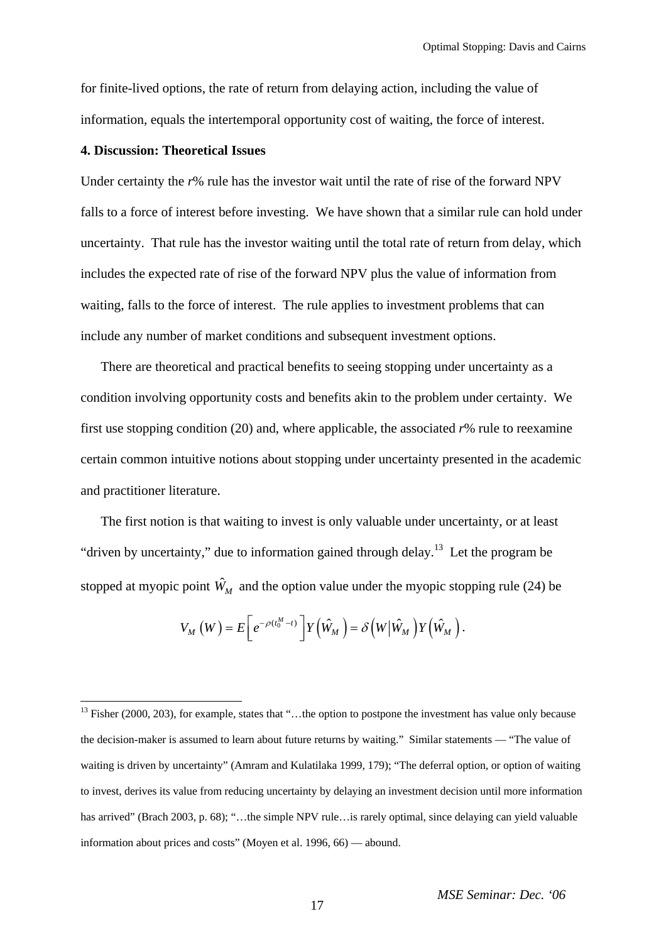for finite-lived options, the rate of return from delaying action, including the value of information, equals the intertemporal opportunity cost of waiting, the force of interest.

## **4. Discussion: Theoretical Issues**

Under certainty the *r*% rule has the investor wait until the rate of rise of the forward NPV falls to a force of interest before investing. We have shown that a similar rule can hold under uncertainty. That rule has the investor waiting until the total rate of return from delay, which includes the expected rate of rise of the forward NPV plus the value of information from waiting, falls to the force of interest. The rule applies to investment problems that can include any number of market conditions and subsequent investment options.

There are theoretical and practical benefits to seeing stopping under uncertainty as a condition involving opportunity costs and benefits akin to the problem under certainty. We first use stopping condition (20) and, where applicable, the associated *r*% rule to reexamine certain common intuitive notions about stopping under uncertainty presented in the academic and practitioner literature.

The first notion is that waiting to invest is only valuable under uncertainty, or at least "driven by uncertainty," due to information gained through delay.<sup>[13](#page-16-0)</sup> Let the program be stopped at myopic point  $\hat{W}_M$  and the option value under the myopic stopping rule (24) be

$$
V_M(W) = E\bigg[e^{-\rho(t_0^M - t)}\bigg]Y(\hat{W}_M) = \delta(W|\hat{W}_M)Y(\hat{W}_M).
$$

<span id="page-16-0"></span><sup>&</sup>lt;sup>13</sup> Fisher (2000, 203), for example, states that "...the option to postpone the investment has value only because the decision-maker is assumed to learn about future returns by waiting." Similar statements — "The value of waiting is driven by uncertainty" (Amram and Kulatilaka 1999, 179); "The deferral option, or option of waiting to invest, derives its value from reducing uncertainty by delaying an investment decision until more information has arrived" (Brach 2003, p. 68); "...the simple NPV rule…is rarely optimal, since delaying can yield valuable information about prices and costs" (Moyen et al. 1996, 66) — abound.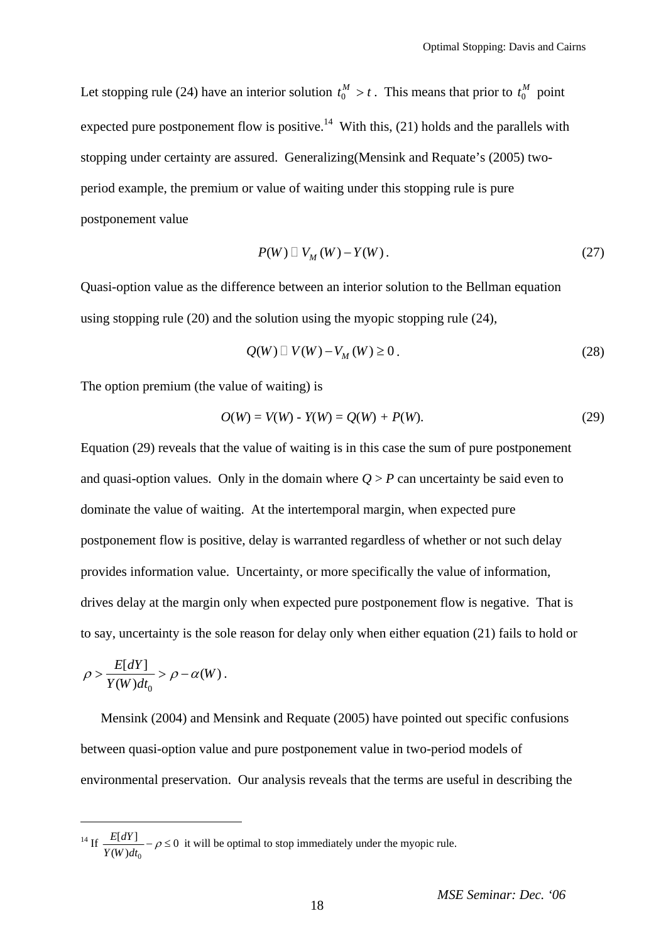Let stopping rule (24) have an interior solution  $t_0^M > t$ . This means that prior to  $t_0^M$  point expected pure postponement flow is positive.<sup>[14](#page-17-0)</sup> With this, (21) holds and the parallels with stopping under certainty are assured. Generalizing(Mensink and Requate's (2005) twoperiod example, the premium or value of waiting under this stopping rule is pure postponement value

$$
P(W) \sqcup V_M(W) - Y(W). \tag{27}
$$

Quasi-option value as the difference between an interior solution to the Bellman equation using stopping rule (20) and the solution using the myopic stopping rule (24),

$$
Q(W) \sqcup V(W) - V_M(W) \ge 0.
$$
\n<sup>(28)</sup>

The option premium (the value of waiting) is

$$
O(W) = V(W) - Y(W) = Q(W) + P(W). \tag{29}
$$

Equation (29) reveals that the value of waiting is in this case the sum of pure postponement and quasi-option values. Only in the domain where  $Q > P$  can uncertainty be said even to dominate the value of waiting. At the intertemporal margin, when expected pure postponement flow is positive, delay is warranted regardless of whether or not such delay provides information value. Uncertainty, or more specifically the value of information, drives delay at the margin only when expected pure postponement flow is negative. That is to say, uncertainty is the sole reason for delay only when either equation (21) fails to hold or

$$
\rho > \frac{E[dY]}{Y(W)dt_0} > \rho - \alpha(W) \, .
$$

 $\overline{a}$ 

Mensink (2004) and Mensink and Requate (2005) have pointed out specific confusions between quasi-option value and pure postponement value in two-period models of environmental preservation. Our analysis reveals that the terms are useful in describing the

<span id="page-17-0"></span> $^{14}$  If 0  $\frac{E[dY]}{(W)dt_0} - \rho \leq 0$ *E dY*  $\frac{Z(u)}{Y(W)dt_0} - \rho \le 0$  it will be optimal to stop immediately under the myopic rule.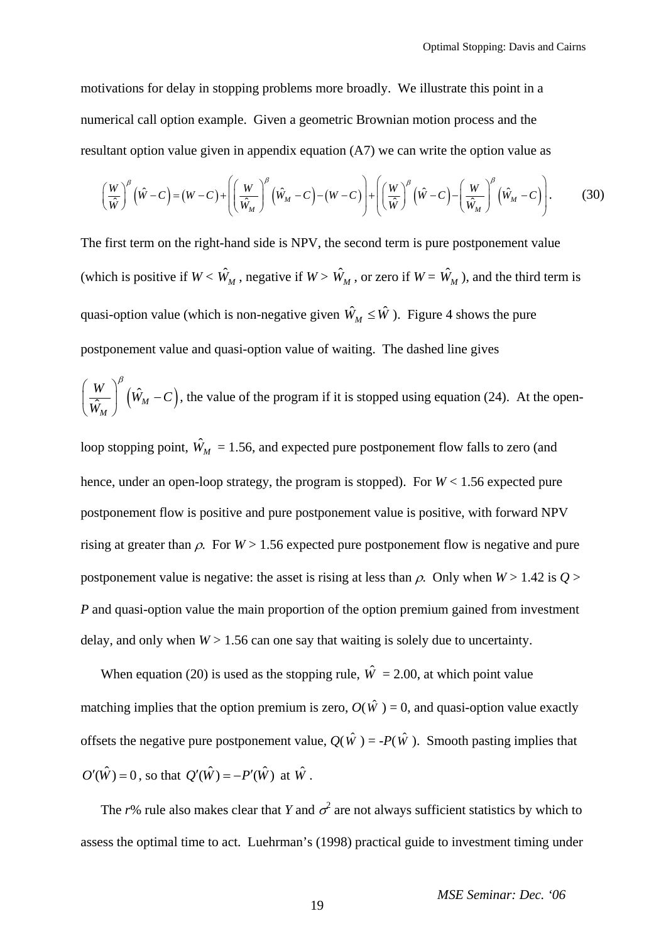motivations for delay in stopping problems more broadly. We illustrate this point in a numerical call option example. Given a geometric Brownian motion process and the resultant option value given in appendix equation (A7) we can write the option value as

$$
\left(\frac{W}{\hat{W}}\right)^{\beta} (\hat{W} - C) = (W - C) + \left[ \left(\frac{W}{\hat{W}_M}\right)^{\beta} (\hat{W}_M - C) - (W - C) \right] + \left[ \left(\frac{W}{\hat{W}}\right)^{\beta} (\hat{W} - C) - \left(\frac{W}{\hat{W}_M}\right)^{\beta} (\hat{W}_M - C) \right].
$$
 (30)

The first term on the right-hand side is NPV, the second term is pure postponement value (which is positive if  $W < \hat{W}_M$ , negative if  $W > \hat{W}_M$ , or zero if  $W = \hat{W}_M$ ), and the third term is quasi-option value (which is non-negative given  $\hat{W}_M \leq \hat{W}$ ). Figure 4 shows the pure postponement value and quasi-option value of waiting. The dashed line gives

$$
\left(\frac{W}{\hat{W}_M}\right)^{\beta} (\hat{W}_M - C)
$$
, the value of the program if it is stopped using equation (24). At the open-

loop stopping point,  $\hat{W}_M = 1.56$ , and expected pure postponement flow falls to zero (and hence, under an open-loop strategy, the program is stopped). For  $W < 1.56$  expected pure postponement flow is positive and pure postponement value is positive, with forward NPV rising at greater than  $\rho$ . For  $W > 1.56$  expected pure postponement flow is negative and pure postponement value is negative: the asset is rising at less than  $\rho$ . Only when  $W > 1.42$  is  $Q >$ *P* and quasi-option value the main proportion of the option premium gained from investment delay, and only when  $W > 1.56$  can one say that waiting is solely due to uncertainty.

When equation (20) is used as the stopping rule,  $\hat{W} = 2.00$ , at which point value matching implies that the option premium is zero,  $O(\hat{W}) = 0$ , and quasi-option value exactly offsets the negative pure postponement value,  $Q(\hat{W}) = -P(\hat{W})$ . Smooth pasting implies that  $O'(\hat{W}) = 0$ , so that  $Q'(\hat{W}) = -P'(\hat{W})$  at  $\hat{W}$ .

The r% rule also makes clear that *Y* and  $\sigma^2$  are not always sufficient statistics by which to assess the optimal time to act. Luehrman's (1998) practical guide to investment timing under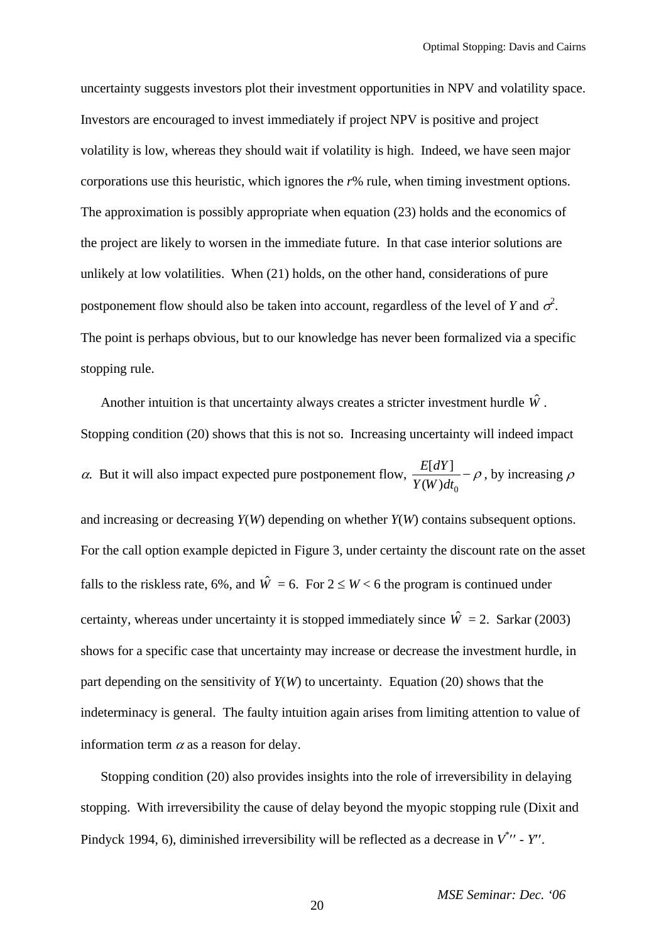uncertainty suggests investors plot their investment opportunities in NPV and volatility space. Investors are encouraged to invest immediately if project NPV is positive and project volatility is low, whereas they should wait if volatility is high. Indeed, we have seen major corporations use this heuristic, which ignores the *r*% rule, when timing investment options. The approximation is possibly appropriate when equation (23) holds and the economics of the project are likely to worsen in the immediate future. In that case interior solutions are unlikely at low volatilities. When (21) holds, on the other hand, considerations of pure postponement flow should also be taken into account, regardless of the level of *Y* and  $\sigma^2$ . The point is perhaps obvious, but to our knowledge has never been formalized via a specific stopping rule.

Another intuition is that uncertainty always creates a stricter investment hurdle  $\hat{W}$ . Stopping condition (20) shows that this is not so. Increasing uncertainty will indeed impact  $\alpha$ . But it will also impact expected pure postponement flow, 0  $[dY]$  $(W)$  $\frac{E[dY]}{Y(W)dt_0}$  –  $\rho$ , by increasing  $\rho$ and increasing or decreasing *Y*(*W*) depending on whether *Y*(*W*) contains subsequent options. For the call option example depicted in Figure 3, under certainty the discount rate on the asset falls to the riskless rate, 6%, and  $\hat{W} = 6$ . For  $2 \le W < 6$  the program is continued under certainty, whereas under uncertainty it is stopped immediately since  $\hat{W} = 2$ . Sarkar (2003) shows for a specific case that uncertainty may increase or decrease the investment hurdle, in part depending on the sensitivity of *Y*(*W*) to uncertainty. Equation (20) shows that the indeterminacy is general. The faulty intuition again arises from limiting attention to value of information term  $\alpha$  as a reason for delay.

Stopping condition (20) also provides insights into the role of irreversibility in delaying stopping. With irreversibility the cause of delay beyond the myopic stopping rule (Dixit and Pindyck 1994, 6), diminished irreversibility will be reflected as a decrease in  $V^*$   $\prime$  -  $Y'$ .

20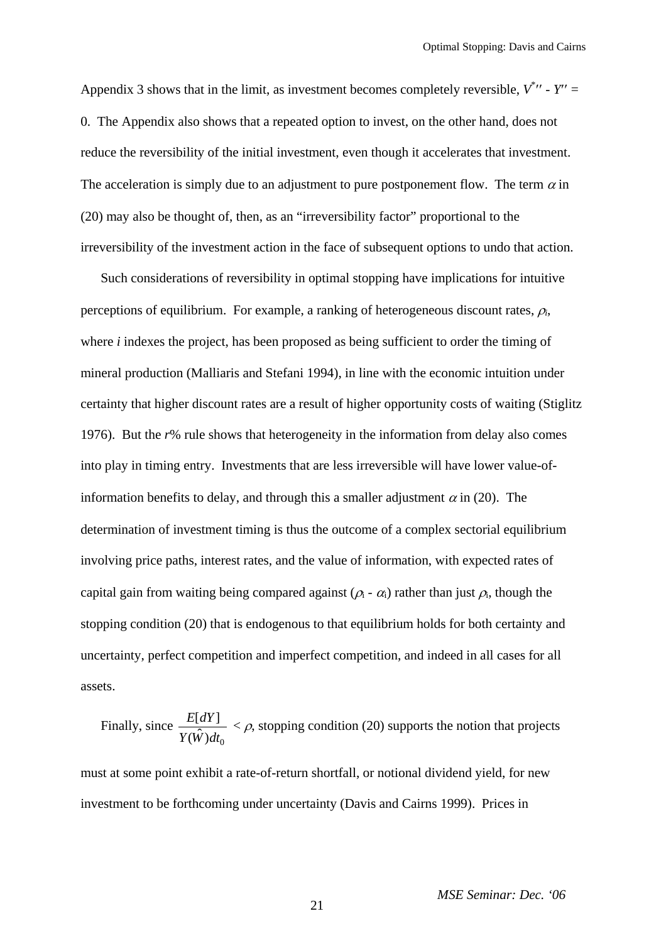Appendix 3 shows that in the limit, as investment becomes completely reversible,  $V^*$  -  $Y'' =$ 0. The Appendix also shows that a repeated option to invest, on the other hand, does not reduce the reversibility of the initial investment, even though it accelerates that investment. The acceleration is simply due to an adjustment to pure postponement flow. The term  $\alpha$  in (20) may also be thought of, then, as an "irreversibility factor" proportional to the irreversibility of the investment action in the face of subsequent options to undo that action.

Such considerations of reversibility in optimal stopping have implications for intuitive perceptions of equilibrium. For example, a ranking of heterogeneous discount rates,  $\rho_i$ , where *i* indexes the project, has been proposed as being sufficient to order the timing of mineral production (Malliaris and Stefani 1994), in line with the economic intuition under certainty that higher discount rates are a result of higher opportunity costs of waiting (Stiglitz 1976). But the *r*% rule shows that heterogeneity in the information from delay also comes into play in timing entry. Investments that are less irreversible will have lower value-ofinformation benefits to delay, and through this a smaller adjustment  $\alpha$  in (20). The determination of investment timing is thus the outcome of a complex sectorial equilibrium involving price paths, interest rates, and the value of information, with expected rates of capital gain from waiting being compared against  $(\rho_i - \alpha_i)$  rather than just  $\rho_i$ , though the stopping condition (20) that is endogenous to that equilibrium holds for both certainty and uncertainty, perfect competition and imperfect competition, and indeed in all cases for all assets.

Finally, since 0  $[dY]$  $(\hat{W})$ *E dY Y W dt*  $\langle \rho$ , stopping condition (20) supports the notion that projects

must at some point exhibit a rate-of-return shortfall, or notional dividend yield, for new investment to be forthcoming under uncertainty (Davis and Cairns 1999). Prices in

*MSE Seminar: Dec. '06*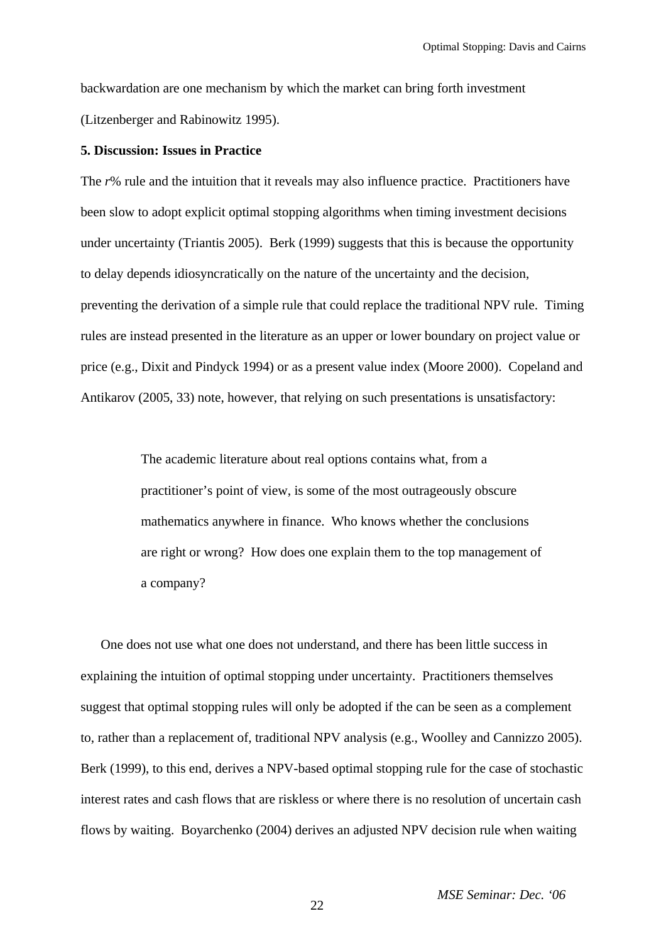backwardation are one mechanism by which the market can bring forth investment (Litzenberger and Rabinowitz 1995).

### **5. Discussion: Issues in Practice**

The *r*% rule and the intuition that it reveals may also influence practice. Practitioners have been slow to adopt explicit optimal stopping algorithms when timing investment decisions under uncertainty (Triantis 2005). Berk (1999) suggests that this is because the opportunity to delay depends idiosyncratically on the nature of the uncertainty and the decision, preventing the derivation of a simple rule that could replace the traditional NPV rule. Timing rules are instead presented in the literature as an upper or lower boundary on project value or price (e.g., Dixit and Pindyck 1994) or as a present value index (Moore 2000). Copeland and Antikarov (2005, 33) note, however, that relying on such presentations is unsatisfactory:

> The academic literature about real options contains what, from a practitioner's point of view, is some of the most outrageously obscure mathematics anywhere in finance. Who knows whether the conclusions are right or wrong? How does one explain them to the top management of a company?

One does not use what one does not understand, and there has been little success in explaining the intuition of optimal stopping under uncertainty. Practitioners themselves suggest that optimal stopping rules will only be adopted if the can be seen as a complement to, rather than a replacement of, traditional NPV analysis (e.g., Woolley and Cannizzo 2005). Berk (1999), to this end, derives a NPV-based optimal stopping rule for the case of stochastic interest rates and cash flows that are riskless or where there is no resolution of uncertain cash flows by waiting. Boyarchenko (2004) derives an adjusted NPV decision rule when waiting

22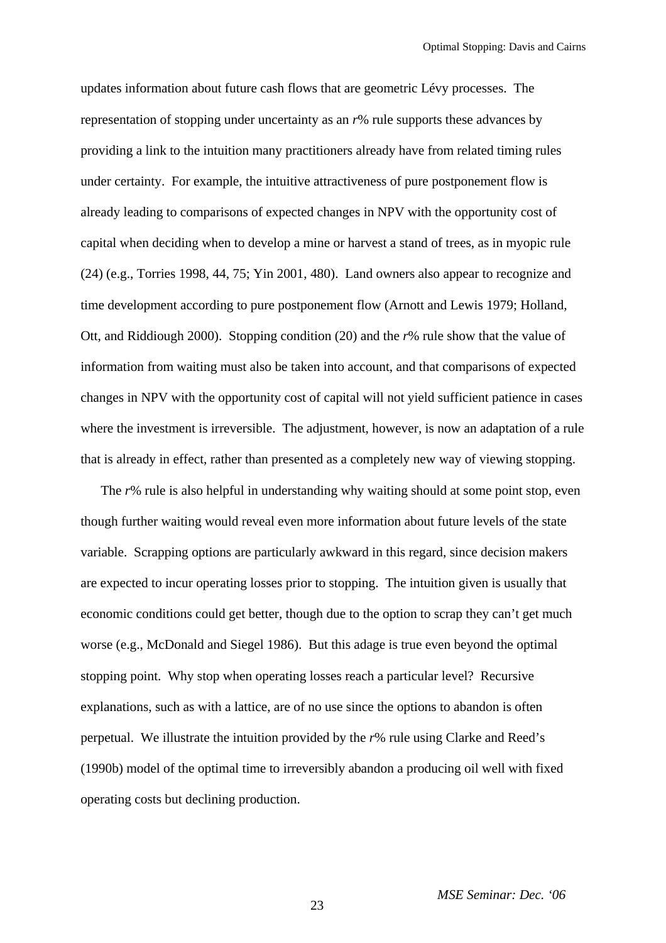updates information about future cash flows that are geometric Lévy processes. The representation of stopping under uncertainty as an *r*% rule supports these advances by providing a link to the intuition many practitioners already have from related timing rules under certainty. For example, the intuitive attractiveness of pure postponement flow is already leading to comparisons of expected changes in NPV with the opportunity cost of capital when deciding when to develop a mine or harvest a stand of trees, as in myopic rule (24) (e.g., Torries 1998, 44, 75; Yin 2001, 480). Land owners also appear to recognize and time development according to pure postponement flow (Arnott and Lewis 1979; Holland, Ott, and Riddiough 2000). Stopping condition (20) and the *r*% rule show that the value of information from waiting must also be taken into account, and that comparisons of expected changes in NPV with the opportunity cost of capital will not yield sufficient patience in cases where the investment is irreversible. The adjustment, however, is now an adaptation of a rule that is already in effect, rather than presented as a completely new way of viewing stopping.

The *r*% rule is also helpful in understanding why waiting should at some point stop, even though further waiting would reveal even more information about future levels of the state variable. Scrapping options are particularly awkward in this regard, since decision makers are expected to incur operating losses prior to stopping. The intuition given is usually that economic conditions could get better, though due to the option to scrap they can't get much worse (e.g., McDonald and Siegel 1986). But this adage is true even beyond the optimal stopping point. Why stop when operating losses reach a particular level? Recursive explanations, such as with a lattice, are of no use since the options to abandon is often perpetual. We illustrate the intuition provided by the *r*% rule using Clarke and Reed's (1990b) model of the optimal time to irreversibly abandon a producing oil well with fixed operating costs but declining production.

23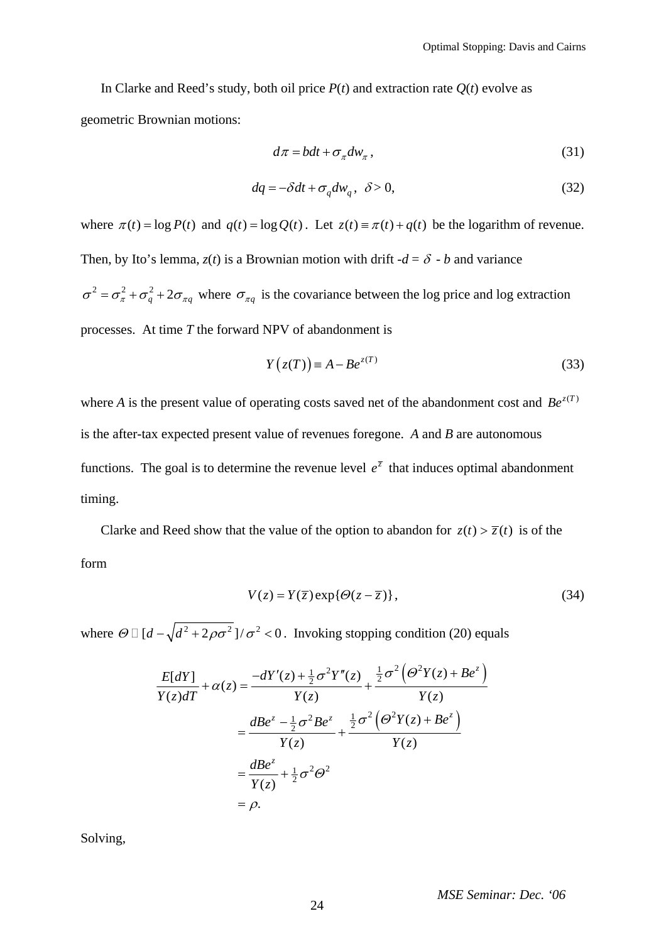In Clarke and Reed's study, both oil price  $P(t)$  and extraction rate  $Q(t)$  evolve as geometric Brownian motions:

$$
d\pi = bdt + \sigma_{\pi} dw_{\pi}, \qquad (31)
$$

$$
dq = -\delta dt + \sigma_q dw_q, \ \delta > 0,
$$
\n(32)

where  $\pi(t) = \log P(t)$  and  $q(t) = \log Q(t)$ . Let  $z(t) = \pi(t) + q(t)$  be the logarithm of revenue. Then, by Ito's lemma,  $z(t)$  is a Brownian motion with drift  $-d = \delta - b$  and variance  $\sigma^2 = \sigma_{\pi}^2 + \sigma_q^2 + 2\sigma_{\pi q}$  where  $\sigma_{\pi q}$  is the covariance between the log price and log extraction processes. At time *T* the forward NPV of abandonment is

$$
Y(z(T)) \equiv A - Be^{z(T)}
$$
\n(33)

where *A* is the present value of operating costs saved net of the abandonment cost and  $Be^{z(T)}$ is the after-tax expected present value of revenues foregone. *A* and *B* are autonomous functions. The goal is to determine the revenue level  $e^{\overline{z}}$  that induces optimal abandonment timing.

Clarke and Reed show that the value of the option to abandon for  $z(t) > \overline{z}(t)$  is of the form

$$
V(z) = Y(\overline{z}) \exp{\{\Theta(z - \overline{z})\}},\tag{34}
$$

where  $\Theta \Box [d - \sqrt{d^2 + 2\rho \sigma^2}]/\sigma^2 < 0$ . Invoking stopping condition (20) equals

$$
\frac{E[dY]}{Y(z)dT} + \alpha(z) = \frac{-dY'(z) + \frac{1}{2}\sigma^2 Y''(z)}{Y(z)} + \frac{\frac{1}{2}\sigma^2 (\Theta^2 Y(z) + Be^z)}{Y(z)}
$$
  

$$
= \frac{dBe^z - \frac{1}{2}\sigma^2 Be^z}{Y(z)} + \frac{\frac{1}{2}\sigma^2 (\Theta^2 Y(z) + Be^z)}{Y(z)}
$$
  

$$
= \frac{dBe^z}{Y(z)} + \frac{1}{2}\sigma^2 \Theta^2
$$
  

$$
= \rho.
$$

Solving,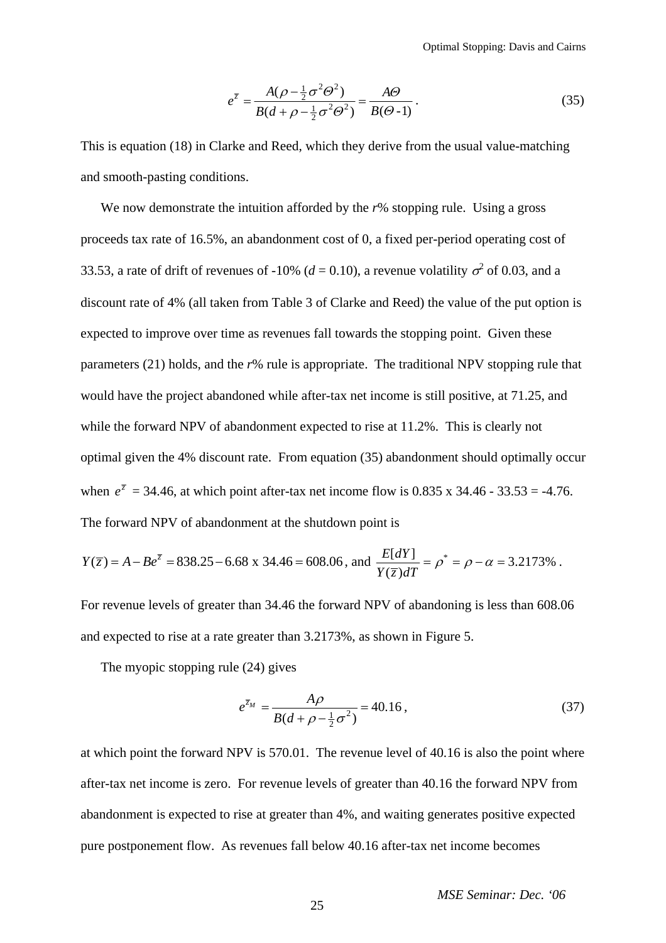$$
e^{\overline{z}} = \frac{A(\rho - \frac{1}{2}\sigma^2 \Theta^2)}{B(d + \rho - \frac{1}{2}\sigma^2 \Theta^2)} = \frac{A\Theta}{B(\Theta - 1)}.
$$
 (35)

This is equation (18) in Clarke and Reed, which they derive from the usual value-matching and smooth-pasting conditions.

We now demonstrate the intuition afforded by the r% stopping rule. Using a gross proceeds tax rate of 16.5%, an abandonment cost of 0, a fixed per-period operating cost of 33.53, a rate of drift of revenues of -10% ( $d = 0.10$ ), a revenue volatility  $\sigma^2$  of 0.03, and a discount rate of 4% (all taken from Table 3 of Clarke and Reed) the value of the put option is expected to improve over time as revenues fall towards the stopping point. Given these parameters (21) holds, and the *r*% rule is appropriate. The traditional NPV stopping rule that would have the project abandoned while after-tax net income is still positive, at 71.25, and while the forward NPV of abandonment expected to rise at 11.2%. This is clearly not optimal given the 4% discount rate. From equation (35) abandonment should optimally occur when  $e^{\bar{z}} = 34.46$ , at which point after-tax net income flow is 0.835 x 34.46 - 33.53 = -4.76. The forward NPV of abandonment at the shutdown point is

$$
Y(\overline{z}) = A - Be^{\overline{z}} = 838.25 - 6.68 \times 34.46 = 608.06, \text{ and } \frac{E[dY]}{Y(\overline{z})dT} = \rho^* = \rho - \alpha = 3.2173\% \ .
$$

For revenue levels of greater than 34.46 the forward NPV of abandoning is less than 608.06 and expected to rise at a rate greater than 3.2173%, as shown in Figure 5.

The myopic stopping rule (24) gives

$$
e^{\bar{z}_M} = \frac{A\rho}{B(d + \rho - \frac{1}{2}\sigma^2)} = 40.16, \tag{37}
$$

at which point the forward NPV is 570.01. The revenue level of 40.16 is also the point where after-tax net income is zero. For revenue levels of greater than 40.16 the forward NPV from abandonment is expected to rise at greater than 4%, and waiting generates positive expected pure postponement flow. As revenues fall below 40.16 after-tax net income becomes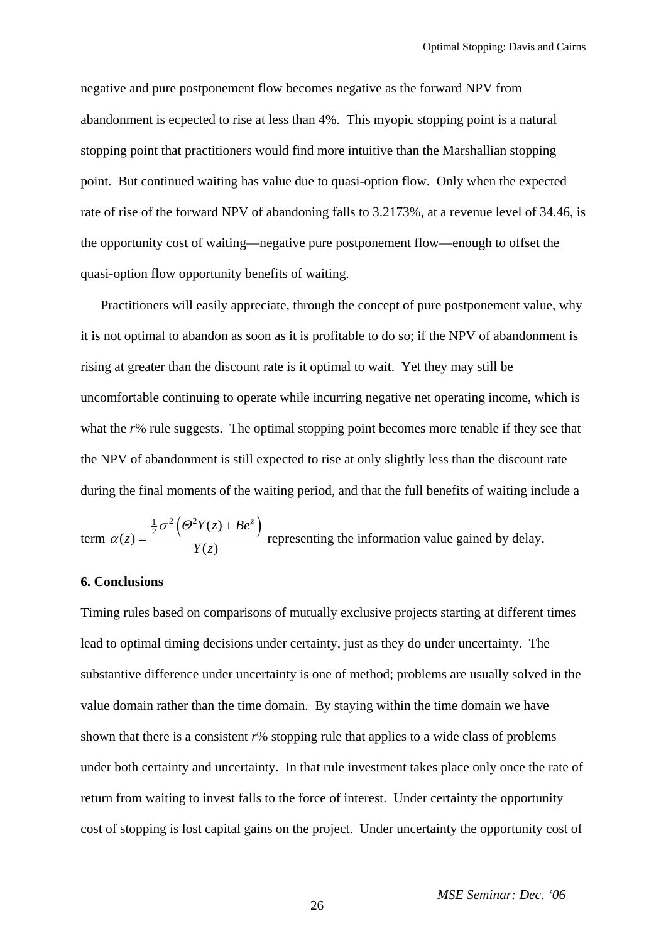negative and pure postponement flow becomes negative as the forward NPV from abandonment is ecpected to rise at less than 4%. This myopic stopping point is a natural stopping point that practitioners would find more intuitive than the Marshallian stopping point. But continued waiting has value due to quasi-option flow. Only when the expected rate of rise of the forward NPV of abandoning falls to 3.2173%, at a revenue level of 34.46, is the opportunity cost of waiting—negative pure postponement flow—enough to offset the quasi-option flow opportunity benefits of waiting.

Practitioners will easily appreciate, through the concept of pure postponement value, why it is not optimal to abandon as soon as it is profitable to do so; if the NPV of abandonment is rising at greater than the discount rate is it optimal to wait. Yet they may still be uncomfortable continuing to operate while incurring negative net operating income, which is what the *r*% rule suggests. The optimal stopping point becomes more tenable if they see that the NPV of abandonment is still expected to rise at only slightly less than the discount rate during the final moments of the waiting period, and that the full benefits of waiting include a

term 
$$
\alpha(z) = \frac{\frac{1}{2}\sigma^2 (\Theta^2 Y(z) + Be^z)}{Y(z)}
$$
 representing the information value gained by delay.

# **6. Conclusions**

Timing rules based on comparisons of mutually exclusive projects starting at different times lead to optimal timing decisions under certainty, just as they do under uncertainty. The substantive difference under uncertainty is one of method; problems are usually solved in the value domain rather than the time domain. By staying within the time domain we have shown that there is a consistent  $r\%$  stopping rule that applies to a wide class of problems under both certainty and uncertainty. In that rule investment takes place only once the rate of return from waiting to invest falls to the force of interest. Under certainty the opportunity cost of stopping is lost capital gains on the project. Under uncertainty the opportunity cost of

26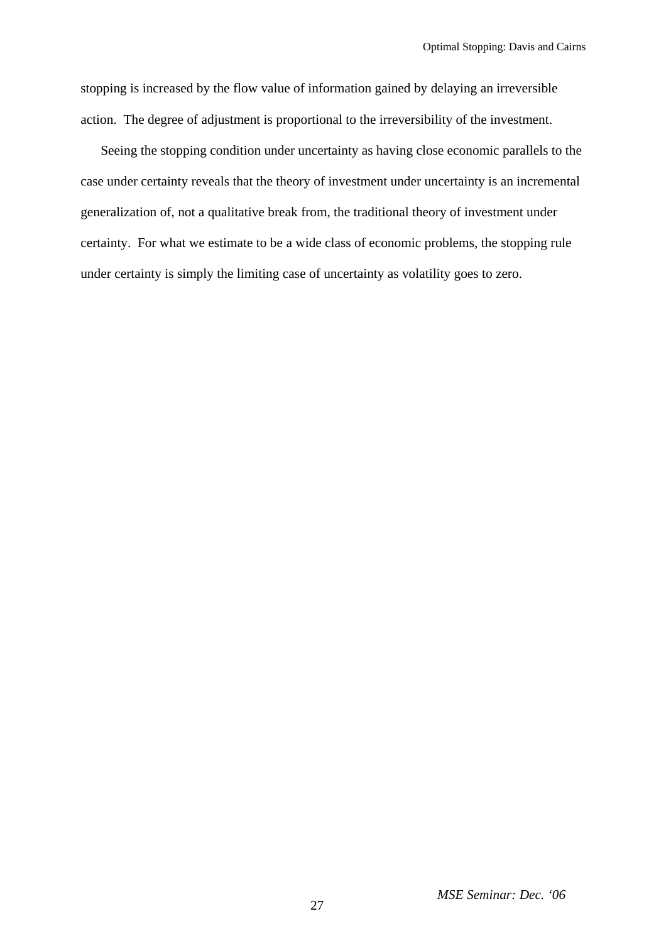stopping is increased by the flow value of information gained by delaying an irreversible action. The degree of adjustment is proportional to the irreversibility of the investment.

Seeing the stopping condition under uncertainty as having close economic parallels to the case under certainty reveals that the theory of investment under uncertainty is an incremental generalization of, not a qualitative break from, the traditional theory of investment under certainty. For what we estimate to be a wide class of economic problems, the stopping rule under certainty is simply the limiting case of uncertainty as volatility goes to zero.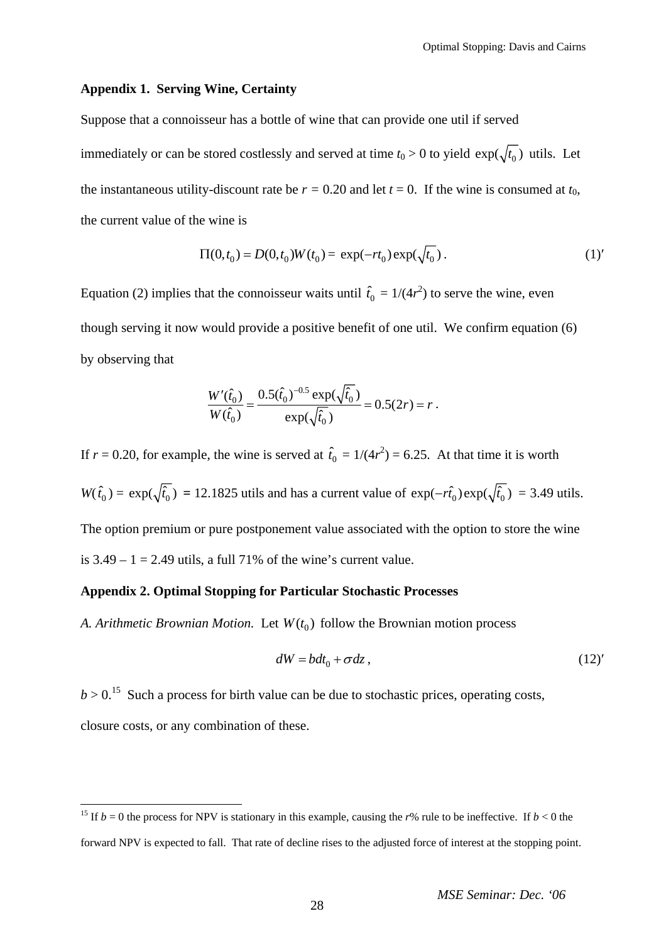## **Appendix 1. Serving Wine, Certainty**

Suppose that a connoisseur has a bottle of wine that can provide one util if served immediately or can be stored costlessly and served at time  $t_0 > 0$  to yield  $\exp(\sqrt{t_0})$  utils. Let the instantaneous utility-discount rate be  $r = 0.20$  and let  $t = 0$ . If the wine is consumed at  $t_0$ , the current value of the wine is

$$
\Pi(0, t_0) = D(0, t_0)W(t_0) = \exp(-rt_0)\exp(\sqrt{t_0}).
$$
\n(1)

Equation (2) implies that the connoisseur waits until  $\hat{t}_0 = 1/(4r^2)$  to serve the wine, even though serving it now would provide a positive benefit of one util. We confirm equation (6) by observing that

$$
\frac{W'(\hat{t}_0)}{W(\hat{t}_0)} = \frac{0.5(\hat{t}_0)^{-0.5} \exp(\sqrt{\hat{t}_0})}{\exp(\sqrt{\hat{t}_0})} = 0.5(2r) = r.
$$

If  $r = 0.20$ , for example, the wine is served at  $\hat{t}_0 = 1/(4r^2) = 6.25$ . At that time it is worth  $W(\hat{t}_0) = \exp(\sqrt{\hat{t}_0}) = 12.1825$  utils and has a current value of  $\exp(-r\hat{t}_0)\exp(\sqrt{\hat{t}_0}) = 3.49$  utils. The option premium or pure postponement value associated with the option to store the wine is  $3.49 - 1 = 2.49$  utils, a full 71% of the wine's current value.

### **Appendix 2. Optimal Stopping for Particular Stochastic Processes**

 $\overline{a}$ 

*A. Arithmetic Brownian Motion.* Let  $W(t_0)$  follow the Brownian motion process

$$
dW = bdt_0 + \sigma dz, \qquad (12)'
$$

 $b > 0$ <sup>[15](#page-27-0)</sup> Such a process for birth value can be due to stochastic prices, operating costs, closure costs, or any combination of these.

<span id="page-27-0"></span><sup>&</sup>lt;sup>15</sup> If  $b = 0$  the process for NPV is stationary in this example, causing the *r*% rule to be ineffective. If  $b < 0$  the forward NPV is expected to fall. That rate of decline rises to the adjusted force of interest at the stopping point.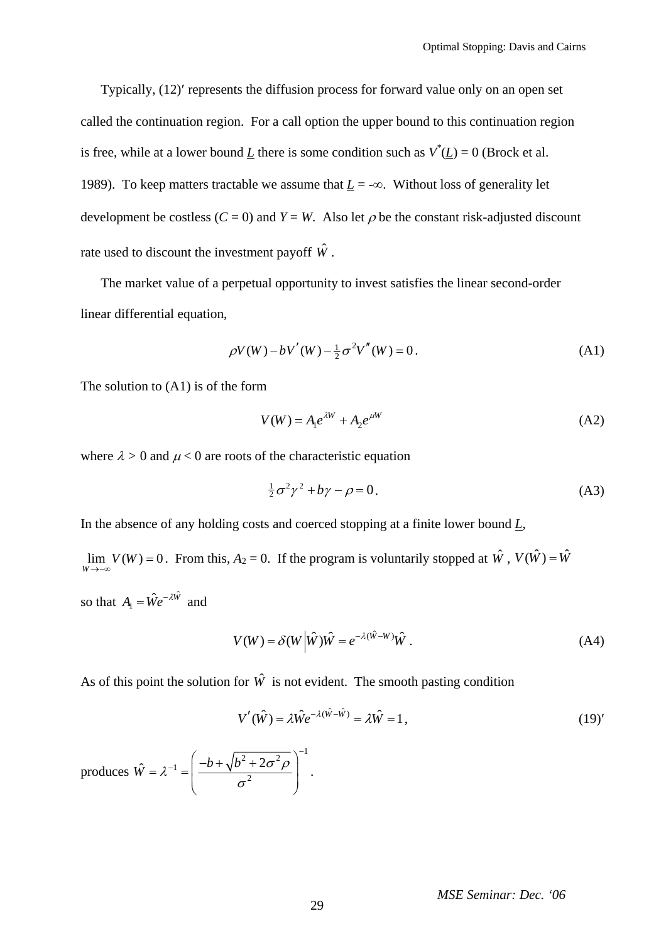Typically, (12)′ represents the diffusion process for forward value only on an open set called the continuation region. For a call option the upper bound to this continuation region is free, while at a lower bound  $\underline{L}$  there is some condition such as  $V^*(\underline{L}) = 0$  (Brock et al. 1989). To keep matters tractable we assume that  $\underline{L}$  = -∞. Without loss of generality let development be costless  $(C = 0)$  and  $Y = W$ . Also let  $\rho$  be the constant risk-adjusted discount rate used to discount the investment payoff  $\hat{W}$ .

The market value of a perpetual opportunity to invest satisfies the linear second-order linear differential equation,

$$
\rho V(W) - bV'(W) - \frac{1}{2}\sigma^2 V''(W) = 0.
$$
 (A1)

The solution to (A1) is of the form

$$
V(W) = A_1 e^{\lambda W} + A_2 e^{\mu W} \tag{A2}
$$

where  $\lambda > 0$  and  $\mu < 0$  are roots of the characteristic equation

$$
\frac{1}{2}\sigma^2\gamma^2 + b\gamma - \rho = 0.
$$
 (A3)

In the absence of any holding costs and coerced stopping at a finite lower bound  $L$ ,

 $\lim_{W \to -\infty} V(W) = 0$ . From this, *A*<sub>2</sub> = 0. If the program is voluntarily stopped at  $\hat{W}$ ,  $V(\hat{W}) = \hat{W}$ so that  $A_1 = \hat{W}e^{-\lambda \hat{W}}$  and

$$
V(W) = \delta(W | \hat{W}) \hat{W} = e^{-\lambda(\hat{W} - W)} \hat{W} .
$$
 (A4)

As of this point the solution for  $\hat{W}$  is not evident. The smooth pasting condition

$$
V'(\hat{W}) = \lambda \hat{W} e^{-\lambda(\hat{W} - \hat{W})} = \lambda \hat{W} = 1, \qquad (19)'
$$

produces  $\frac{1}{2}$   $\left( \frac{2\pi^2}{\pi^2} \right)^{-1}$ 1  $\hat{W} = \lambda^{-1} = \frac{\left(-b + \sqrt{b^2 + 2\sigma^2 \rho}\right)}{\sigma^2}$  $= \lambda^{-1} = \left( \frac{-b + \sqrt{b^2 + 2\sigma^2 \rho}}{2} \right)^{-1}$  $\begin{pmatrix} 0 & \cdots & 0 \\ 0 & \cdots & 0 \\ 0 & \cdots & 0 \end{pmatrix}$ .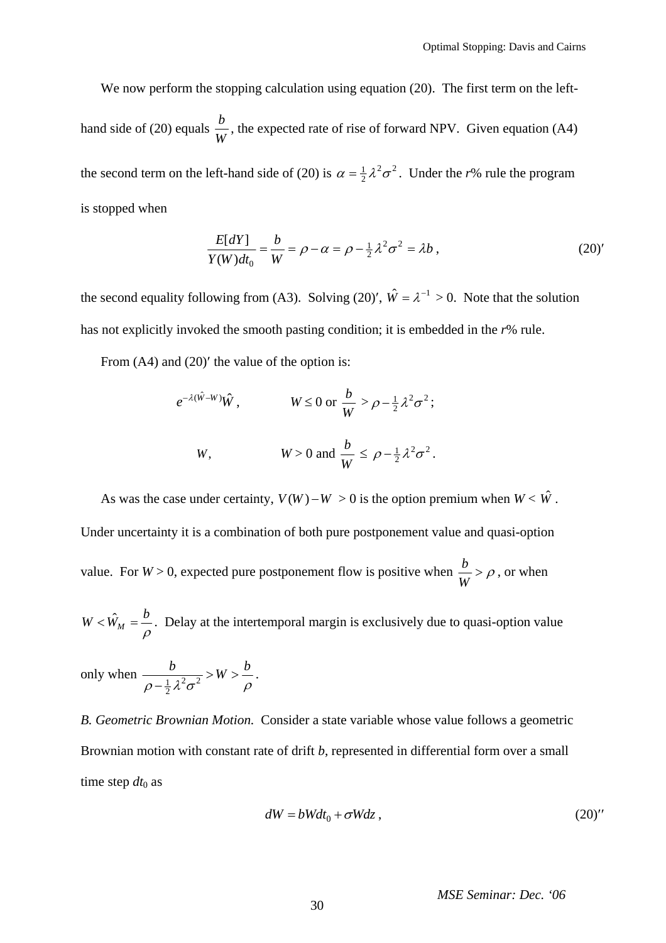We now perform the stopping calculation using equation (20). The first term on the lefthand side of (20) equals  $\frac{b}{W}$ , the expected rate of rise of forward NPV. Given equation (A4) the second term on the left-hand side of (20) is  $\alpha = \frac{1}{2} \lambda^2 \sigma^2$ . Under the *r*% rule the program is stopped when

$$
\frac{E[dY]}{Y(W)dt_0} = \frac{b}{W} = \rho - \alpha = \rho - \frac{1}{2}\lambda^2 \sigma^2 = \lambda b,
$$
\n(20)'

the second equality following from (A3). Solving (20)',  $\hat{W} = \lambda^{-1} > 0$ . Note that the solution has not explicitly invoked the smooth pasting condition; it is embedded in the *r*% rule.

From  $(A4)$  and  $(20)'$  the value of the option is:

$$
e^{-\lambda(\hat{W}-W)}\hat{W}
$$
,  $W \le 0$  or  $\frac{b}{W} > \rho - \frac{1}{2}\lambda^2 \sigma^2$ ;  
  
 $W$ ,  $W > 0$  and  $\frac{b}{W} \le \rho - \frac{1}{2}\lambda^2 \sigma^2$ .

As was the case under certainty,  $V(W) - W > 0$  is the option premium when  $W < \hat{W}$ . Under uncertainty it is a combination of both pure postponement value and quasi-option value. For  $W > 0$ , expected pure postponement flow is positive when  $\frac{b}{\sigma}$ *W*  $> \rho$ , or when

 $W < \hat{W}_M = \frac{b}{a}$ ρ  $\langle \hat{W}_M = \hat{U}$ . Delay at the intertemporal margin is exclusively due to quasi-option value

only when  $\frac{\sigma}{\rho - \frac{1}{2} \lambda^2 \sigma^2}$  $\frac{b}{a^2}$  > W >  $\frac{b}{a}$  $\frac{\partial}{\partial-\frac{1}{2}\lambda^2\sigma^2} > W > \frac{\partial}{\rho}.$ 

*B. Geometric Brownian Motion.* Consider a state variable whose value follows a geometric Brownian motion with constant rate of drift *b*, represented in differential form over a small time step  $dt_0$  as

$$
dW = bWdt_0 + \sigma Wdz, \qquad (20)''
$$

*MSE Seminar: Dec. '06*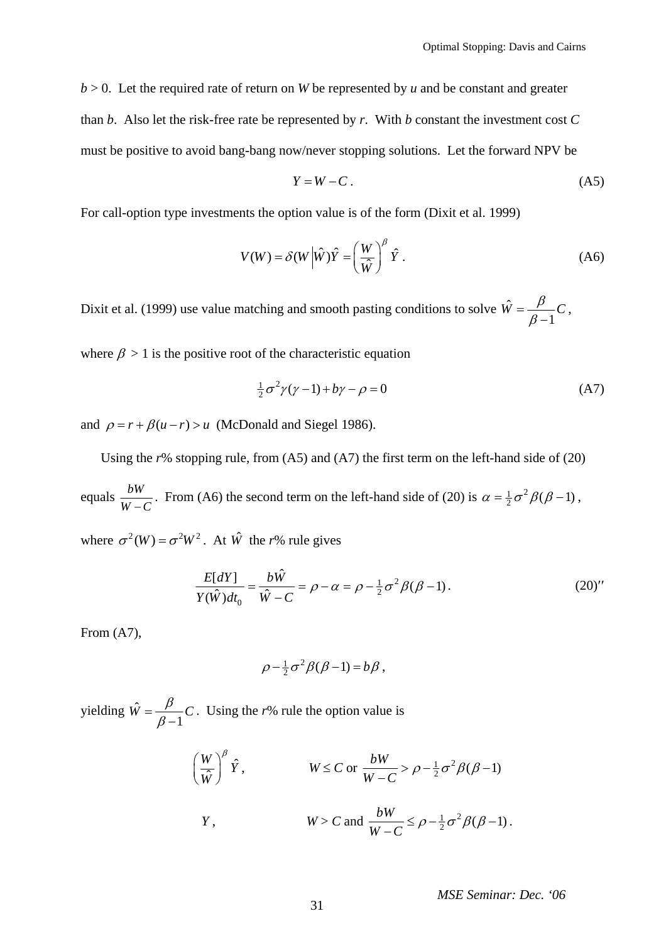$b > 0$ . Let the required rate of return on *W* be represented by *u* and be constant and greater than *b*. Also let the risk-free rate be represented by *r*.With *b* constant the investment cost *C* must be positive to avoid bang-bang now/never stopping solutions. Let the forward NPV be

$$
Y = W - C. \tag{A5}
$$

For call-option type investments the option value is of the form (Dixit et al. 1999)

$$
V(W) = \delta(W | \hat{W}) \hat{Y} = \left(\frac{W}{\hat{W}}\right)^{\beta} \hat{Y}.
$$
 (A6)

Dixit et al. (1999) use value matching and smooth pasting conditions to solve  $\hat{W}$ 1  $\hat{W} = \frac{\beta}{\beta - 1} C$ ,

where  $\beta > 1$  is the positive root of the characteristic equation

$$
\frac{1}{2}\sigma^2\gamma(\gamma - 1) + b\gamma - \rho = 0\tag{A7}
$$

and  $\rho = r + \beta(u - r) > u$  (McDonald and Siegel 1986).

Using the *r*% stopping rule, from (A5) and (A7) the first term on the left-hand side of (20)

equals  $\frac{bW}{W-C}$ . From (A6) the second term on the left-hand side of (20) is  $\alpha = \frac{1}{2}\sigma^2 \beta(\beta - 1)$ , where  $\sigma^2(W) = \sigma^2 W^2$   $\Delta t \hat{W}$  the *r*<sup>0</sup>/<sub>c</sub> rule gives

where 
$$
\sigma
$$
 (*w*) =  $\sigma$  *w*. At *w* the *r*% rule gives

$$
\frac{E[dY]}{Y(\hat{W})dt_0} = \frac{b\hat{W}}{\hat{W}-C} = \rho - \alpha = \rho - \frac{1}{2}\sigma^2 \beta(\beta - 1).
$$
 (20)''

From (A7),

$$
\rho - \frac{1}{2}\sigma^2 \beta(\beta - 1) = b\beta,
$$

yielding  $\hat{W}$ 1  $\hat{W} = \frac{\beta}{\beta - 1} C$ . Using the *r*% rule the option value is

$$
\left(\frac{W}{\hat{W}}\right)^{\beta}\hat{Y}, \qquad W \leq C \text{ or } \frac{bW}{W-C} > \rho - \frac{1}{2}\sigma^2 \beta(\beta - 1)
$$
  

$$
Y, \qquad W > C \text{ and } \frac{bW}{W-C} \leq \rho - \frac{1}{2}\sigma^2 \beta(\beta - 1).
$$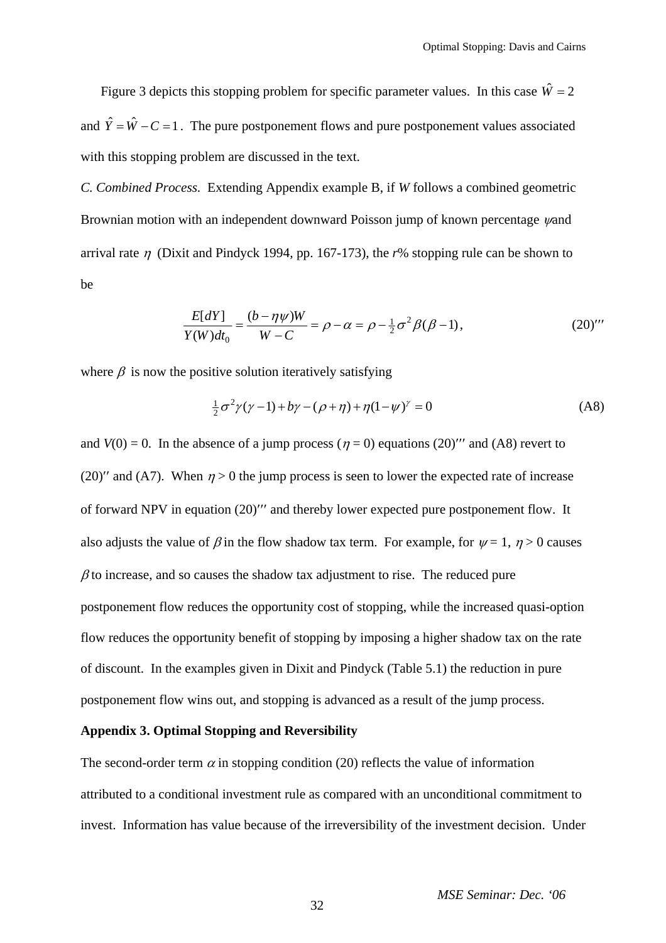Figure 3 depicts this stopping problem for specific parameter values. In this case  $\hat{W} = 2$ and  $\hat{Y} = \hat{W} - C = 1$ . The pure postponement flows and pure postponement values associated with this stopping problem are discussed in the text.

*C. Combined Process.* Extending Appendix example B, if *W* follows a combined geometric Brownian motion with an independent downward Poisson jump of known percentage *ψ*and arrival rate η (Dixit and Pindyck 1994, pp. 167-173), the *r*% stopping rule can be shown to be

$$
\frac{E[dY]}{Y(W)dt_0} = \frac{(b - \eta \psi)W}{W - C} = \rho - \alpha = \rho - \frac{1}{2}\sigma^2 \beta(\beta - 1),\tag{20}''
$$

where  $\beta$  is now the positive solution iteratively satisfying

$$
\frac{1}{2}\sigma^2 \gamma (\gamma - 1) + b\gamma - (\rho + \eta) + \eta (1 - \psi)^{\gamma} = 0
$$
 (A8)

and  $V(0) = 0$ . In the absence of a jump process ( $\eta = 0$ ) equations (20)<sup>*'''*</sup> and (A8) revert to (20)<sup> $\prime\prime$ </sup> and (A7). When  $\eta > 0$  the jump process is seen to lower the expected rate of increase of forward NPV in equation (20)′′′ and thereby lower expected pure postponement flow. It also adjusts the value of  $\beta$  in the flow shadow tax term. For example, for  $\psi = 1$ ,  $\eta > 0$  causes  $\beta$  to increase, and so causes the shadow tax adjustment to rise. The reduced pure postponement flow reduces the opportunity cost of stopping, while the increased quasi-option flow reduces the opportunity benefit of stopping by imposing a higher shadow tax on the rate of discount. In the examples given in Dixit and Pindyck (Table 5.1) the reduction in pure postponement flow wins out, and stopping is advanced as a result of the jump process.

## **Appendix 3. Optimal Stopping and Reversibility**

The second-order term  $\alpha$  in stopping condition (20) reflects the value of information attributed to a conditional investment rule as compared with an unconditional commitment to invest. Information has value because of the irreversibility of the investment decision. Under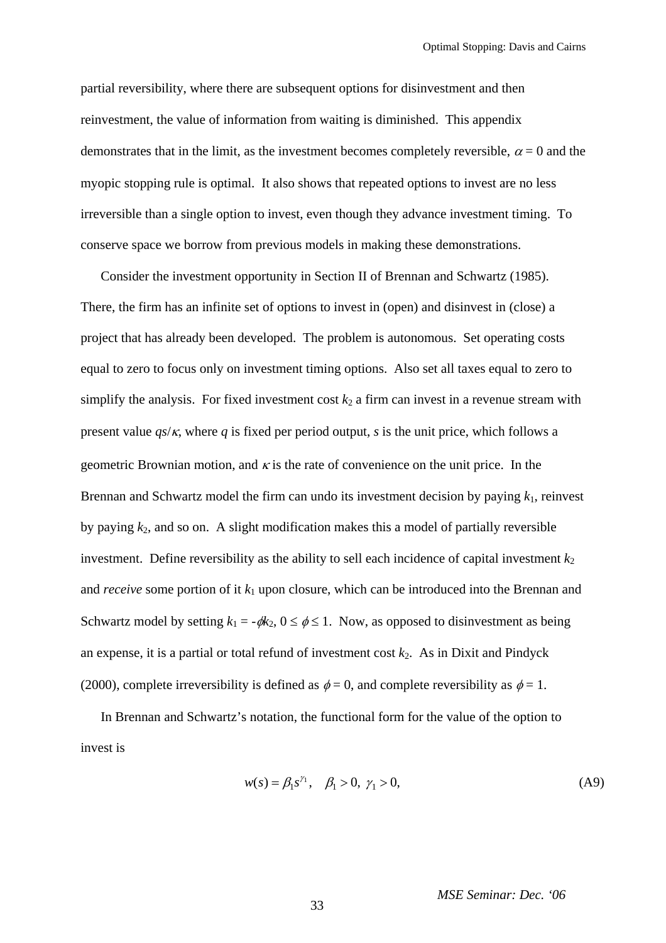partial reversibility, where there are subsequent options for disinvestment and then reinvestment, the value of information from waiting is diminished. This appendix demonstrates that in the limit, as the investment becomes completely reversible,  $\alpha = 0$  and the myopic stopping rule is optimal. It also shows that repeated options to invest are no less irreversible than a single option to invest, even though they advance investment timing. To conserve space we borrow from previous models in making these demonstrations.

Consider the investment opportunity in Section II of Brennan and Schwartz (1985). There, the firm has an infinite set of options to invest in (open) and disinvest in (close) a project that has already been developed. The problem is autonomous. Set operating costs equal to zero to focus only on investment timing options. Also set all taxes equal to zero to simplify the analysis. For fixed investment cost  $k_2$  a firm can invest in a revenue stream with present value  $q_s/\kappa$ , where q is fixed per period output, s is the unit price, which follows a geometric Brownian motion, and  $\kappa$  is the rate of convenience on the unit price. In the Brennan and Schwartz model the firm can undo its investment decision by paying  $k_1$ , reinvest by paying  $k_2$ , and so on. A slight modification makes this a model of partially reversible investment. Define reversibility as the ability to sell each incidence of capital investment  $k_2$ and *receive* some portion of it  $k_1$  upon closure, which can be introduced into the Brennan and Schwartz model by setting  $k_1 = -\phi k_2$ ,  $0 \le \phi \le 1$ . Now, as opposed to disinvestment as being an expense, it is a partial or total refund of investment cost  $k_2$ . As in Dixit and Pindyck (2000), complete irreversibility is defined as  $\phi = 0$ , and complete reversibility as  $\phi = 1$ .

In Brennan and Schwartz's notation, the functional form for the value of the option to invest is

$$
w(s) = \beta_1 s^{\gamma_1}, \quad \beta_1 > 0, \ \gamma_1 > 0,
$$
 (A9)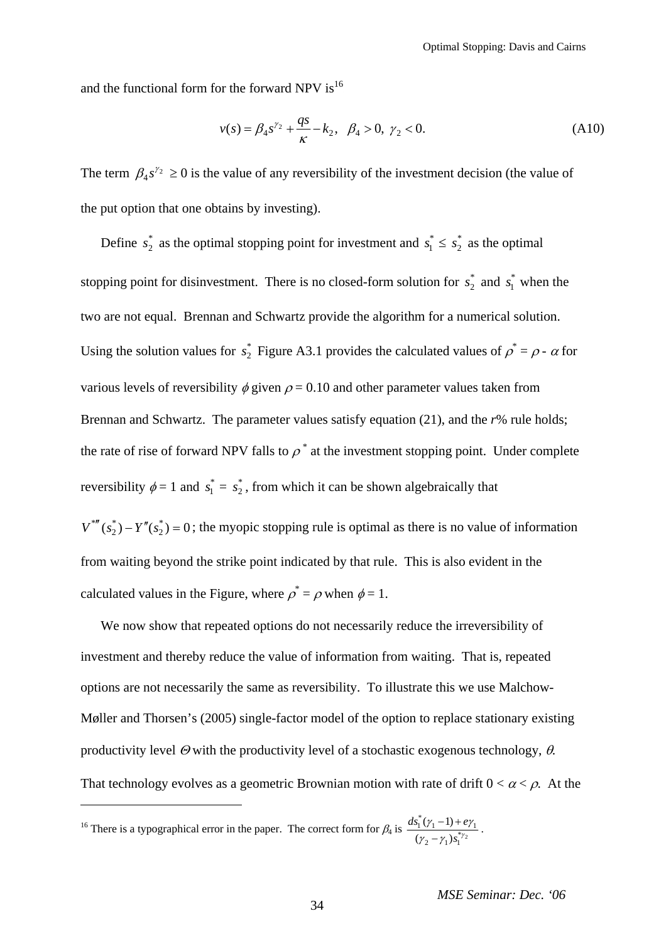and the functional form for the forward NPV is<sup>[16](#page-33-0)</sup>

$$
v(s) = \beta_4 s^{\gamma_2} + \frac{qs}{\kappa} - k_2, \ \beta_4 > 0, \ \gamma_2 < 0.
$$
 (A10)

The term  $\beta_4 s^{\gamma_2} \ge 0$  is the value of any reversibility of the investment decision (the value of the put option that one obtains by investing).

Define  $s_2^*$  as the optimal stopping point for investment and  $s_1^* \leq s_2^*$  as the optimal stopping point for disinvestment. There is no closed-form solution for  $s_2^*$  and  $s_1^*$  when the two are not equal. Brennan and Schwartz provide the algorithm for a numerical solution. Using the solution values for  $s_2^*$  Figure A3.1 provides the calculated values of  $\rho^* = \rho - \alpha$  for various levels of reversibility  $\phi$  given  $\rho = 0.10$  and other parameter values taken from Brennan and Schwartz. The parameter values satisfy equation (21), and the *r*% rule holds; the rate of rise of forward NPV falls to  $\rho^*$  at the investment stopping point. Under complete reversibility  $\phi = 1$  and  $s_1^* = s_2^*$ , from which it can be shown algebraically that

 $V^{*} (s_2^*) - Y''(s_2^*) = 0$ ; the myopic stopping rule is optimal as there is no value of information from waiting beyond the strike point indicated by that rule. This is also evident in the calculated values in the Figure, where  $\rho^* = \rho$  when  $\phi = 1$ .

We now show that repeated options do not necessarily reduce the irreversibility of investment and thereby reduce the value of information from waiting. That is, repeated options are not necessarily the same as reversibility. To illustrate this we use Malchow-Møller and Thorsen's (2005) single-factor model of the option to replace stationary existing productivity level  $\Theta$  with the productivity level of a stochastic exogenous technology,  $\theta$ . That technology evolves as a geometric Brownian motion with rate of drift  $0 < \alpha < \rho$ . At the

<span id="page-33-0"></span><sup>16</sup> There is a typographical error in the paper. The correct form for  $\beta_4$  is  $\frac{ds_1(\gamma_1-1)+e}{(\gamma_1-\gamma_2)e^{s\gamma_2}}$  $\int_{1}^{*} (\gamma_1 - 1) + e \gamma_1$  $(z - \gamma_1) s_1^*$  $(\gamma_1 - 1)$  $(\gamma_2 - \gamma_1)$  $ds_1^*(\gamma_1 - 1) + e$  $s_1^{*\gamma}$  $(\gamma_1 - 1) + e\gamma$  $\gamma_2 - \gamma$  $\frac{(n-1)+e\gamma_1}{(-\gamma_1)s_1^{*\gamma_2}}$ .

 $\overline{a}$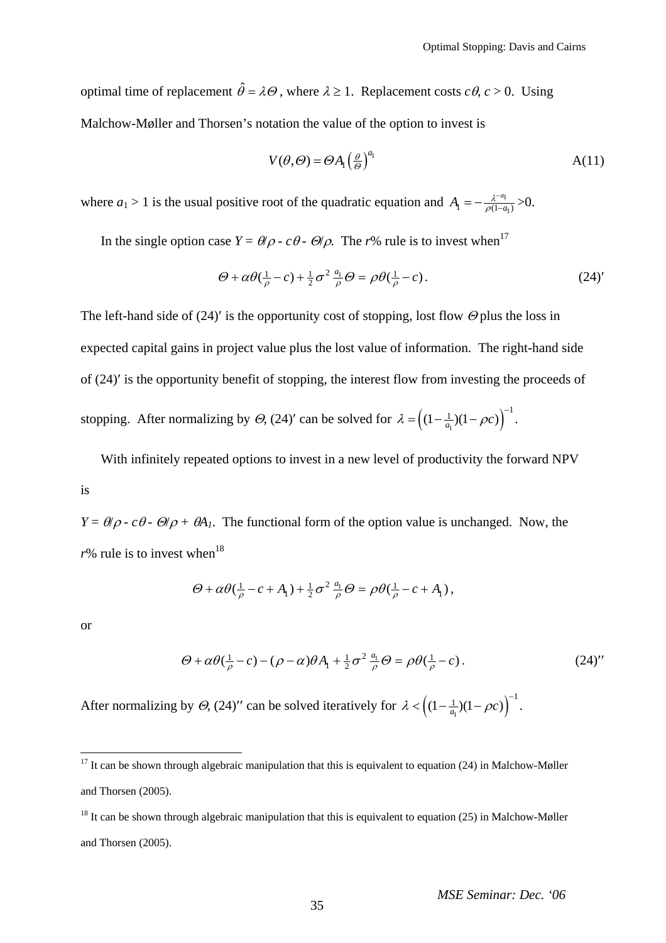optimal time of replacement  $\hat{\theta} = \lambda \Theta$ , where  $\lambda \ge 1$ . Replacement costs  $c\theta$ ,  $c > 0$ . Using Malchow-Møller and Thorsen's notation the value of the option to invest is

$$
V(\theta, \Theta) = \Theta A_1 \left(\frac{\theta}{\Theta}\right)^{a_1} \tag{11}
$$

where  $a_1 > 1$  is the usual positive root of the quadratic equation and  $A_1 = -\frac{\lambda^{-a_1}}{\rho(1-a_1)}$  $A_1 = -\frac{\lambda^{-a_1}}{\rho(1-a_1)}$  $=-\frac{\lambda^{-a_1}}{\rho(1-a_1)}$ >0.

In the single option case  $Y = \theta/\rho \cdot c\theta \cdot \Theta/\rho$ . The *r*% rule is to invest when<sup>[17](#page-34-0)</sup>

$$
\Theta + \alpha \theta \left( \frac{1}{\rho} - c \right) + \frac{1}{2} \sigma^2 \frac{a_1}{\rho} \Theta = \rho \theta \left( \frac{1}{\rho} - c \right). \tag{24'}
$$

The left-hand side of (24)' is the opportunity cost of stopping, lost flow  $\Theta$  plus the loss in expected capital gains in project value plus the lost value of information. The right-hand side of (24)′ is the opportunity benefit of stopping, the interest flow from investing the proceeds of stopping. After normalizing by  $\Theta$ , (24)' can be solved for  $\lambda = \left( (1 - \frac{1}{a_1})(1 - \rho c) \right)^{-1}$ .

With infinitely repeated options to invest in a new level of productivity the forward NPV is

*Y* =  $\theta/\rho$  -  $c\theta$  -  $\theta/\rho$  +  $\theta$ *A*<sub>1</sub>. The functional form of the option value is unchanged. Now, the  $r\%$  rule is to invest when<sup>[18](#page-34-1)</sup>

$$
\Theta + \alpha \theta (\tfrac{1}{\rho} - c + A_1) + \tfrac{1}{2} \sigma^2 \tfrac{a_1}{\rho} \Theta = \rho \theta (\tfrac{1}{\rho} - c + A_1),
$$

or

 $\overline{a}$ 

$$
\Theta + \alpha \theta (\frac{1}{\rho} - c) - (\rho - \alpha) \theta A_1 + \frac{1}{2} \sigma^2 \frac{a_1}{\rho} \Theta = \rho \theta (\frac{1}{\rho} - c).
$$
 (24)''

After normalizing by  $\Theta$ , (24)'' can be solved iteratively for  $\lambda < ((1 - \frac{1}{a_1})(1 - \rho c))$ <sup>-1</sup>.

<span id="page-34-0"></span><sup>&</sup>lt;sup>17</sup> It can be shown through algebraic manipulation that this is equivalent to equation (24) in Malchow-Møller and Thorsen (2005).

<span id="page-34-1"></span> $18$  It can be shown through algebraic manipulation that this is equivalent to equation (25) in Malchow-Møller and Thorsen (2005).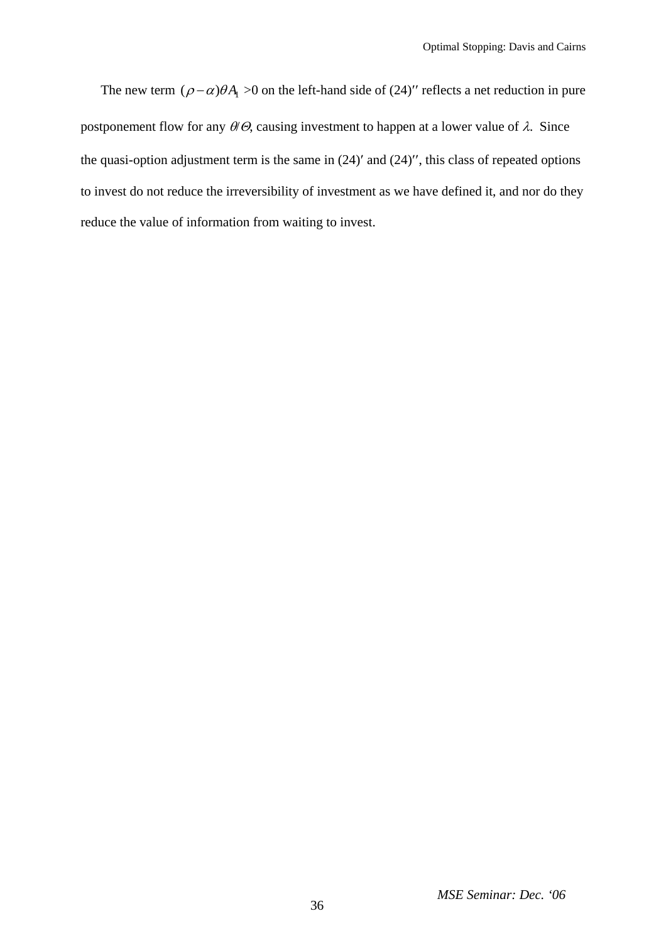The new term  $(\rho - \alpha)\theta A$  >0 on the left-hand side of (24)'' reflects a net reduction in pure postponement flow for any  $\theta/\theta$ , causing investment to happen at a lower value of  $\lambda$ . Since the quasi-option adjustment term is the same in (24)′ and (24)′′, this class of repeated options to invest do not reduce the irreversibility of investment as we have defined it, and nor do they reduce the value of information from waiting to invest.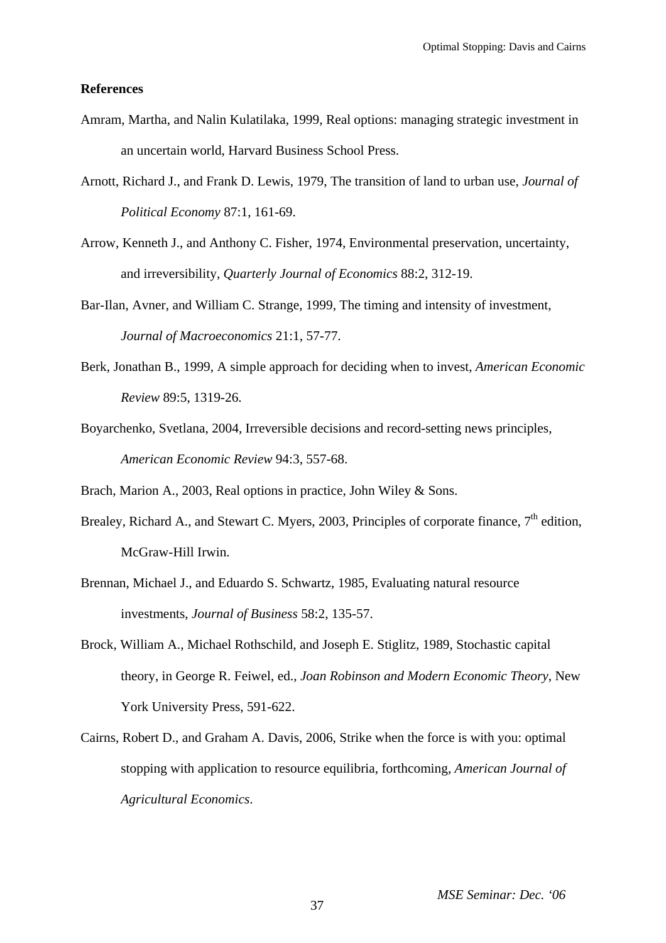## **References**

- Amram, Martha, and Nalin Kulatilaka, 1999, Real options: managing strategic investment in an uncertain world, Harvard Business School Press.
- Arnott, Richard J., and Frank D. Lewis, 1979, The transition of land to urban use, *Journal of Political Economy* 87:1, 161-69.
- Arrow, Kenneth J., and Anthony C. Fisher, 1974, Environmental preservation, uncertainty, and irreversibility, *Quarterly Journal of Economics* 88:2, 312-19.
- Bar-Ilan, Avner, and William C. Strange, 1999, The timing and intensity of investment, *Journal of Macroeconomics* 21:1, 57-77.
- Berk, Jonathan B., 1999, A simple approach for deciding when to invest, *American Economic Review* 89:5, 1319-26.
- Boyarchenko, Svetlana, 2004, Irreversible decisions and record-setting news principles, *American Economic Review* 94:3, 557-68.

Brach, Marion A., 2003, Real options in practice, John Wiley & Sons.

- Brealey, Richard A., and Stewart C. Myers, 2003, Principles of corporate finance,  $7<sup>th</sup>$  edition, McGraw-Hill Irwin.
- Brennan, Michael J., and Eduardo S. Schwartz, 1985, Evaluating natural resource investments, *Journal of Business* 58:2, 135-57.
- Brock, William A., Michael Rothschild, and Joseph E. Stiglitz, 1989, Stochastic capital theory, in George R. Feiwel, ed., *Joan Robinson and Modern Economic Theory*, New York University Press, 591-622.
- Cairns, Robert D., and Graham A. Davis, 2006, Strike when the force is with you: optimal stopping with application to resource equilibria, forthcoming, *American Journal of Agricultural Economics*.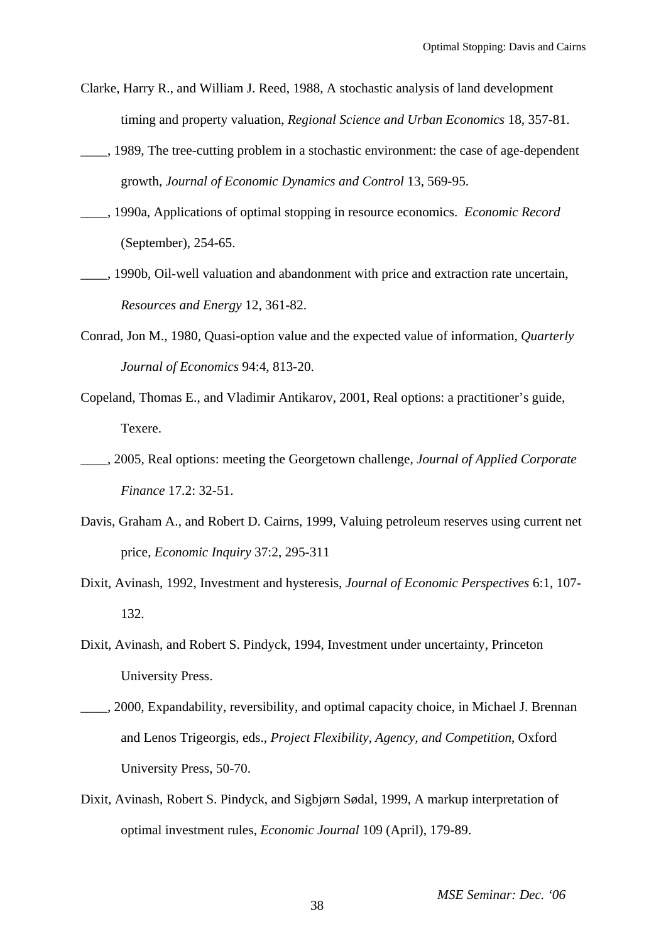- Clarke, Harry R., and William J. Reed, 1988, A stochastic analysis of land development timing and property valuation, *Regional Science and Urban Economics* 18, 357-81.
- \_\_\_\_, 1989, The tree-cutting problem in a stochastic environment: the case of age-dependent growth, *Journal of Economic Dynamics and Control* 13, 569-95.
- \_\_\_\_, 1990a, Applications of optimal stopping in resource economics. *Economic Record* (September), 254-65.
- 1990b, Oil-well valuation and abandonment with price and extraction rate uncertain, *Resources and Energy* 12, 361-82.
- Conrad, Jon M., 1980, Quasi-option value and the expected value of information, *Quarterly Journal of Economics* 94:4, 813-20.
- Copeland, Thomas E., and Vladimir Antikarov, 2001, Real options: a practitioner's guide, Texere.
- \_\_\_\_, 2005, Real options: meeting the Georgetown challenge, *Journal of Applied Corporate Finance* 17.2: 32-51.
- Davis, Graham A., and Robert D. Cairns, 1999, Valuing petroleum reserves using current net price, *Economic Inquiry* 37:2, 295-311
- Dixit, Avinash, 1992, Investment and hysteresis, *Journal of Economic Perspectives* 6:1, 107- 132.
- Dixit, Avinash, and Robert S. Pindyck, 1994, Investment under uncertainty, Princeton University Press.
- \_\_\_\_, 2000, Expandability, reversibility, and optimal capacity choice, in Michael J. Brennan and Lenos Trigeorgis, eds., *Project Flexibility, Agency, and Competition*, Oxford University Press, 50-70.
- Dixit, Avinash, Robert S. Pindyck, and Sigbjørn Sødal, 1999, A markup interpretation of optimal investment rules, *Economic Journal* 109 (April), 179-89.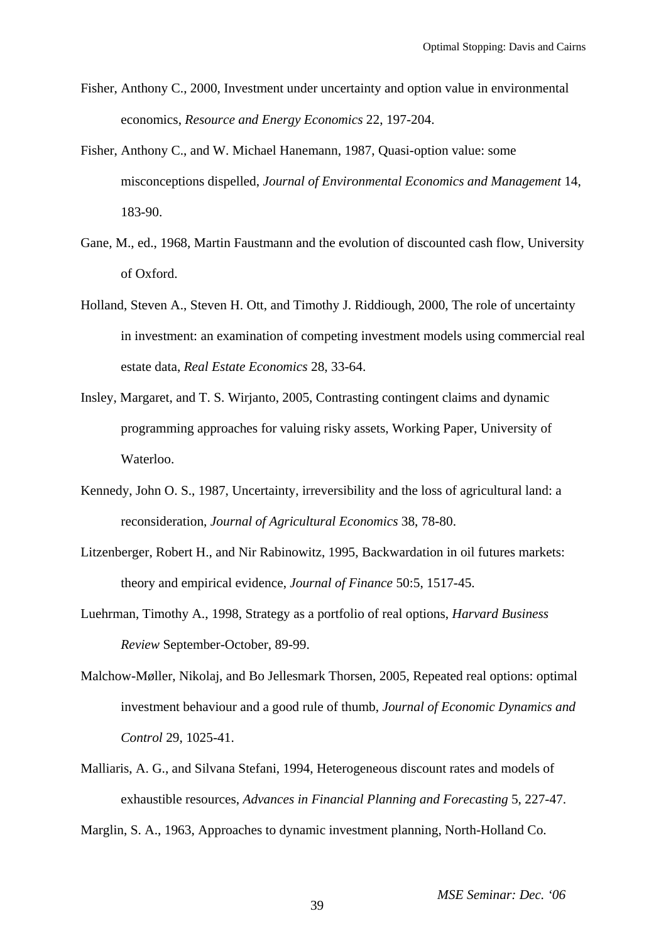- Fisher, Anthony C., 2000, Investment under uncertainty and option value in environmental economics, *Resource and Energy Economics* 22, 197-204.
- Fisher, Anthony C., and W. Michael Hanemann, 1987, Quasi-option value: some misconceptions dispelled, *Journal of Environmental Economics and Management* 14, 183-90.
- Gane, M., ed., 1968, Martin Faustmann and the evolution of discounted cash flow, University of Oxford.
- Holland, Steven A., Steven H. Ott, and Timothy J. Riddiough, 2000, The role of uncertainty in investment: an examination of competing investment models using commercial real estate data, *Real Estate Economics* 28, 33-64.
- Insley, Margaret, and T. S. Wirjanto, 2005, Contrasting contingent claims and dynamic programming approaches for valuing risky assets, Working Paper, University of Waterloo.
- Kennedy, John O. S., 1987, Uncertainty, irreversibility and the loss of agricultural land: a reconsideration, *Journal of Agricultural Economics* 38, 78-80.
- Litzenberger, Robert H., and Nir Rabinowitz, 1995, Backwardation in oil futures markets: theory and empirical evidence, *Journal of Finance* 50:5, 1517-45.
- Luehrman, Timothy A., 1998, Strategy as a portfolio of real options, *Harvard Business Review* September-October, 89-99.
- Malchow-Møller, Nikolaj, and Bo Jellesmark Thorsen, 2005, Repeated real options: optimal investment behaviour and a good rule of thumb, *Journal of Economic Dynamics and Control* 29, 1025-41.
- Malliaris, A. G., and Silvana Stefani, 1994, Heterogeneous discount rates and models of exhaustible resources, *Advances in Financial Planning and Forecasting* 5, 227-47.

Marglin, S. A., 1963, Approaches to dynamic investment planning, North-Holland Co.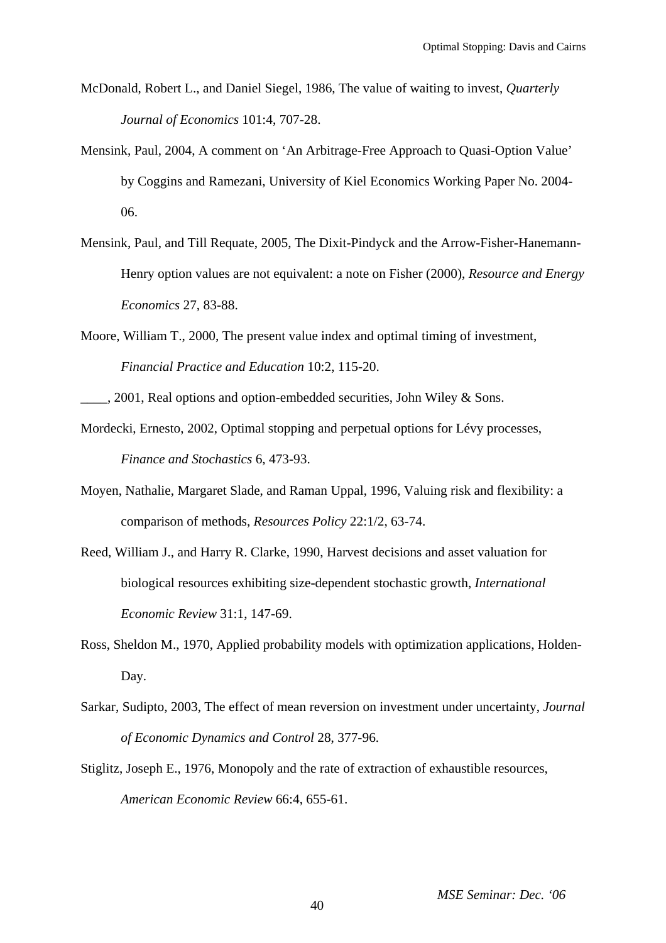- McDonald, Robert L., and Daniel Siegel, 1986, The value of waiting to invest, *Quarterly Journal of Economics* 101:4, 707-28.
- Mensink, Paul, 2004, A comment on 'An Arbitrage-Free Approach to Quasi-Option Value' by Coggins and Ramezani, University of Kiel Economics Working Paper No. 2004- 06.
- Mensink, Paul, and Till Requate, 2005, The Dixit-Pindyck and the Arrow-Fisher-Hanemann-Henry option values are not equivalent: a note on Fisher (2000), *Resource and Energy Economics* 27, 83-88.
- Moore, William T., 2000, The present value index and optimal timing of investment, *Financial Practice and Education* 10:2, 115-20.
- \_\_\_\_, 2001, Real options and option-embedded securities, John Wiley & Sons.
- Mordecki, Ernesto, 2002, Optimal stopping and perpetual options for Lévy processes, *Finance and Stochastics* 6, 473-93.
- Moyen, Nathalie, Margaret Slade, and Raman Uppal, 1996, Valuing risk and flexibility: a comparison of methods, *Resources Policy* 22:1/2, 63-74.
- Reed, William J., and Harry R. Clarke, 1990, Harvest decisions and asset valuation for biological resources exhibiting size-dependent stochastic growth, *International Economic Review* 31:1, 147-69.
- Ross, Sheldon M., 1970, Applied probability models with optimization applications, Holden-Day.
- Sarkar, Sudipto, 2003, The effect of mean reversion on investment under uncertainty, *Journal of Economic Dynamics and Control* 28, 377-96.
- Stiglitz, Joseph E., 1976, Monopoly and the rate of extraction of exhaustible resources, *American Economic Review* 66:4, 655-61.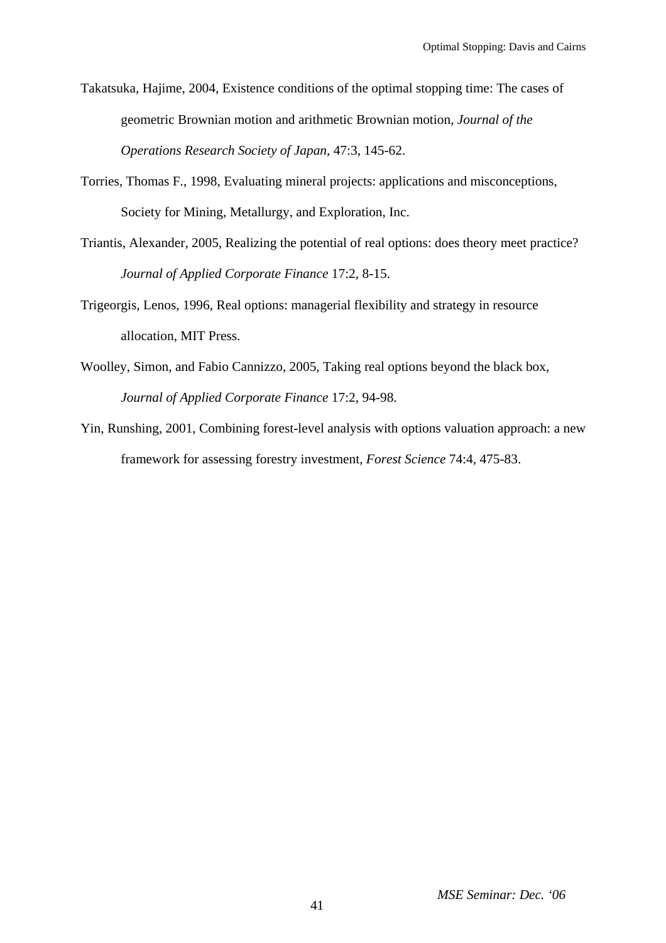- Takatsuka, Hajime, 2004, Existence conditions of the optimal stopping time: The cases of geometric Brownian motion and arithmetic Brownian motion, *Journal of the Operations Research Society of Japan*, 47:3, 145-62.
- Torries, Thomas F., 1998, Evaluating mineral projects: applications and misconceptions, Society for Mining, Metallurgy, and Exploration, Inc.
- Triantis, Alexander, 2005, Realizing the potential of real options: does theory meet practice? *Journal of Applied Corporate Finance* 17:2, 8-15.
- Trigeorgis, Lenos, 1996, Real options: managerial flexibility and strategy in resource allocation, MIT Press.
- Woolley, Simon, and Fabio Cannizzo, 2005, Taking real options beyond the black box, *Journal of Applied Corporate Finance* 17:2, 94-98.
- Yin, Runshing, 2001, Combining forest-level analysis with options valuation approach: a new framework for assessing forestry investment, *Forest Science* 74:4, 475-83.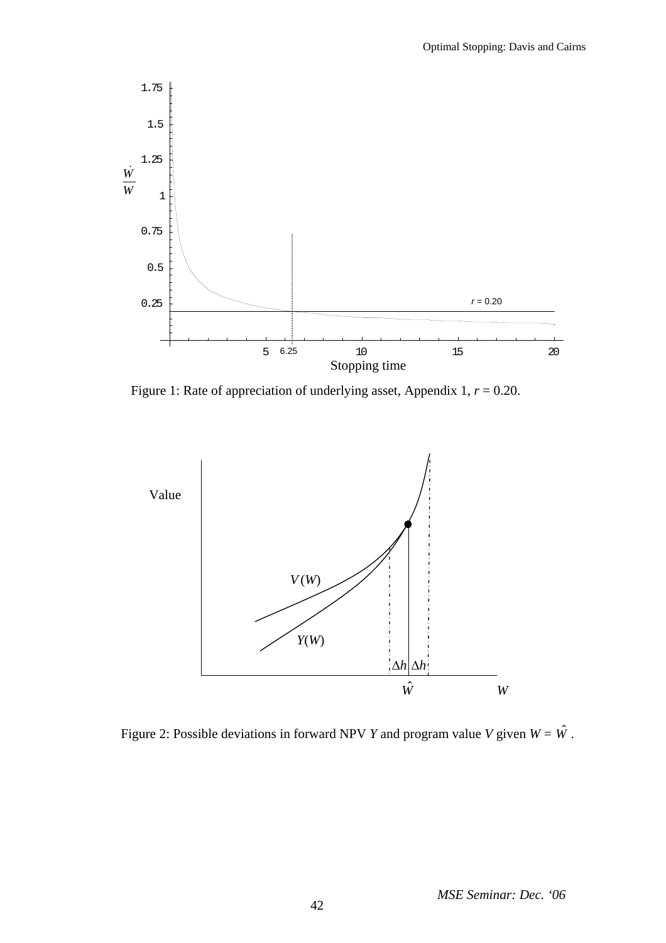

Figure 1: Rate of appreciation of underlying asset, Appendix 1, *r* = 0.20.



Figure 2: Possible deviations in forward NPV *Y* and program value *V* given  $W = \hat{W}$ .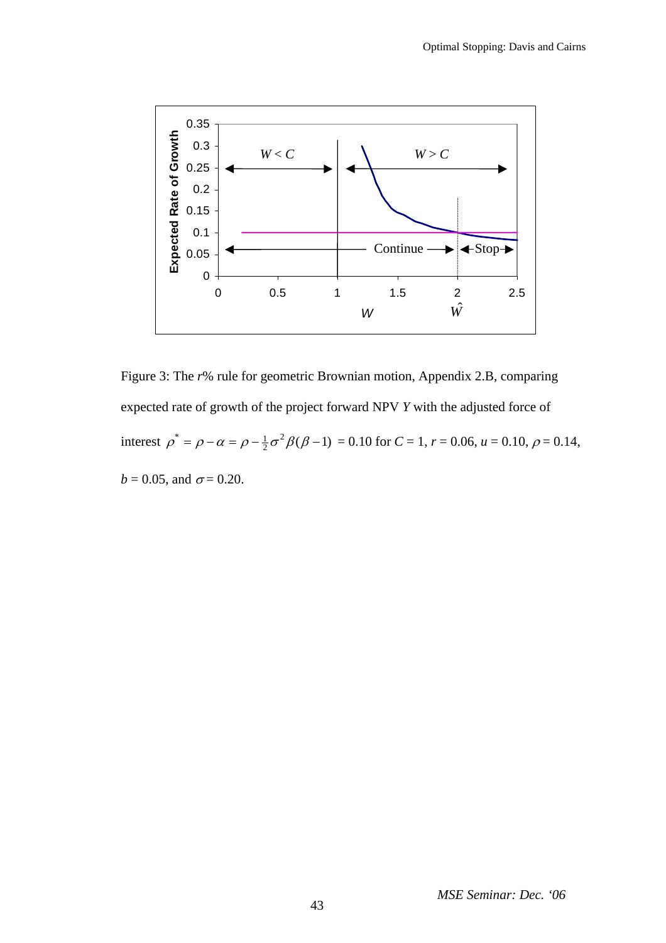

Figure 3: The *r*% rule for geometric Brownian motion, Appendix 2.B, comparing expected rate of growth of the project forward NPV *Y* with the adjusted force of interest  $\rho^* = \rho - \alpha = \rho - \frac{1}{2}\sigma^2 \beta(\beta - 1) = 0.10$  for  $C = 1$ ,  $r = 0.06$ ,  $u = 0.10$ ,  $\rho = 0.14$ ,  $b = 0.05$ , and  $\sigma = 0.20$ .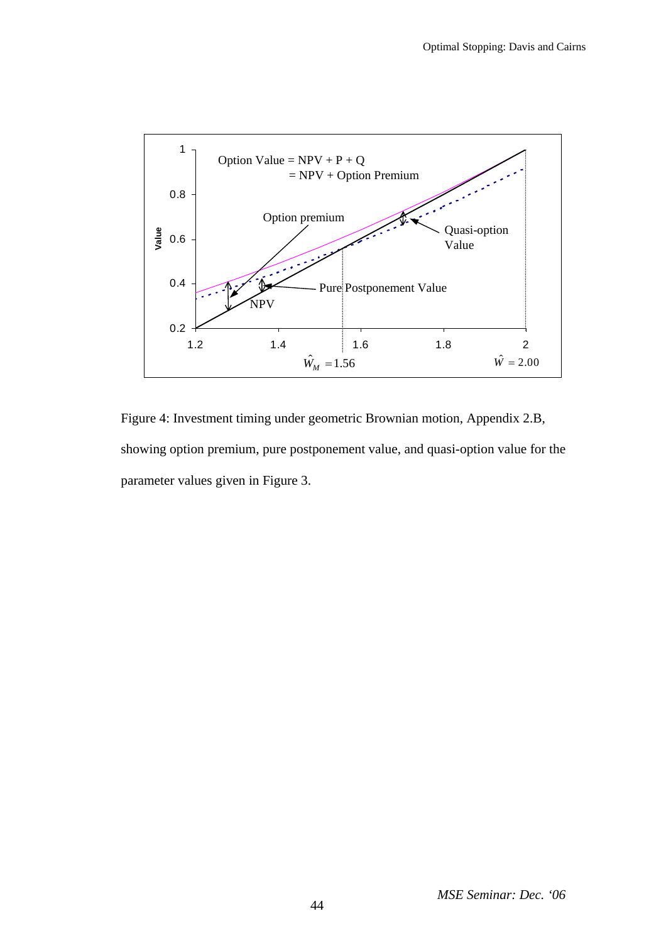

Figure 4: Investment timing under geometric Brownian motion, Appendix 2.B, showing option premium, pure postponement value, and quasi-option value for the parameter values given in Figure 3.